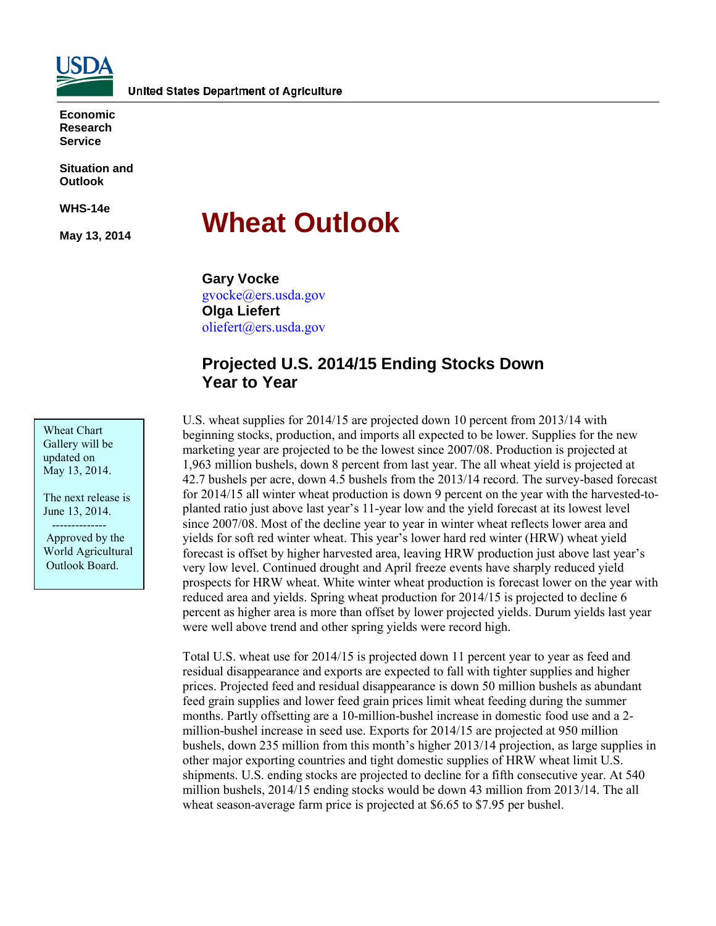

**Economic Research Service**

**Situation and Outlook**

**WHS-14e**

**May 13, 2014**

# **Wheat Outlook**

**Gary Vocke** gvocke@ers.usda.gov **Olga Liefert** [oliefert@ers.usda.gov](mailto:oliefert@ers.usda.gov)

# **Projected U.S. 2014/15 Ending Stocks Down Year to Year**

U.S. wheat supplies for 2014/15 are projected down 10 percent from 2013/14 with beginning stocks, production, and imports all expected to be lower. Supplies for the new marketing year are projected to be the lowest since 2007/08. Production is projected at 1,963 million bushels, down 8 percent from last year. The all wheat yield is projected at 42.7 bushels per acre, down 4.5 bushels from the 2013/14 record. The survey-based forecast for 2014/15 all winter wheat production is down 9 percent on the year with the harvested-toplanted ratio just above last year's 11-year low and the yield forecast at its lowest level since 2007/08. Most of the decline year to year in winter wheat reflects lower area and yields for soft red winter wheat. This year's lower hard red winter (HRW) wheat yield forecast is offset by higher harvested area, leaving HRW production just above last year's very low level. Continued drought and April freeze events have sharply reduced yield prospects for HRW wheat. White winter wheat production is forecast lower on the year with reduced area and yields. Spring wheat production for 2014/15 is projected to decline 6 percent as higher area is more than offset by lower projected yields. Durum yields last year were well above trend and other spring yields were record high.

Total U.S. wheat use for 2014/15 is projected down 11 percent year to year as feed and residual disappearance and exports are expected to fall with tighter supplies and higher prices. Projected feed and residual disappearance is down 50 million bushels as abundant feed grain supplies and lower feed grain prices limit wheat feeding during the summer months. Partly offsetting are a 10-million-bushel increase in domestic food use and a 2 million-bushel increase in seed use. Exports for 2014/15 are projected at 950 million bushels, down 235 million from this month's higher 2013/14 projection, as large supplies in other major exporting countries and tight domestic supplies of HRW wheat limit U.S. shipments. U.S. ending stocks are projected to decline for a fifth consecutive year. At 540 million bushels, 2014/15 ending stocks would be down 43 million from 2013/14. The all wheat season-average farm price is projected at \$6.65 to \$7.95 per bushel.

Wheat Chart Gallery will be updated on May 13, 2014.

The next release is June 13, 2014. --------------

Approved by the World Agricultural Outlook Board.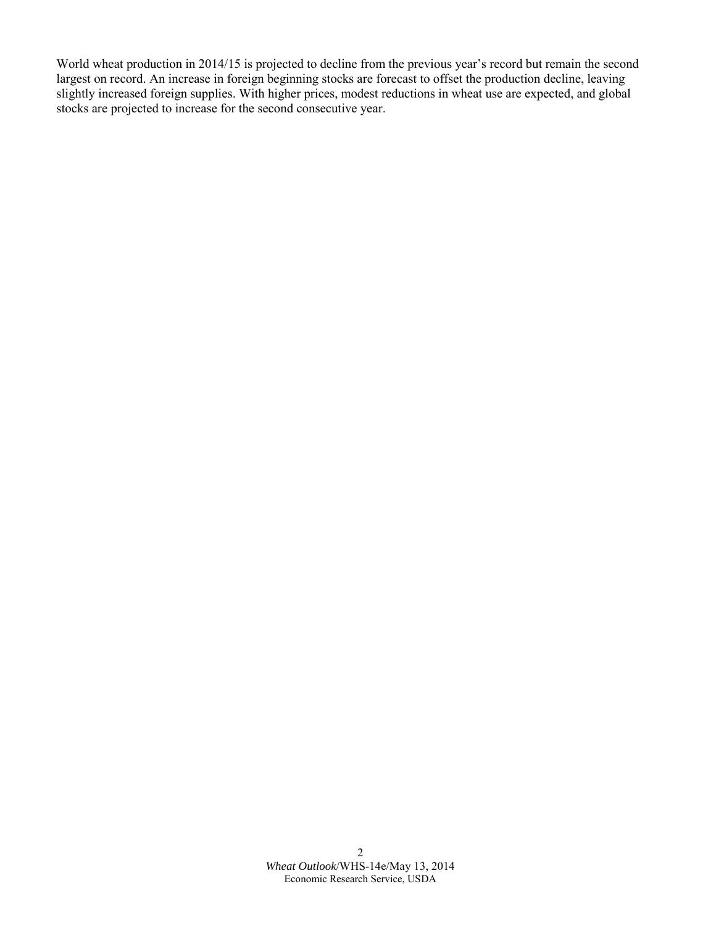World wheat production in 2014/15 is projected to decline from the previous year's record but remain the second largest on record. An increase in foreign beginning stocks are forecast to offset the production decline, leaving slightly increased foreign supplies. With higher prices, modest reductions in wheat use are expected, and global stocks are projected to increase for the second consecutive year.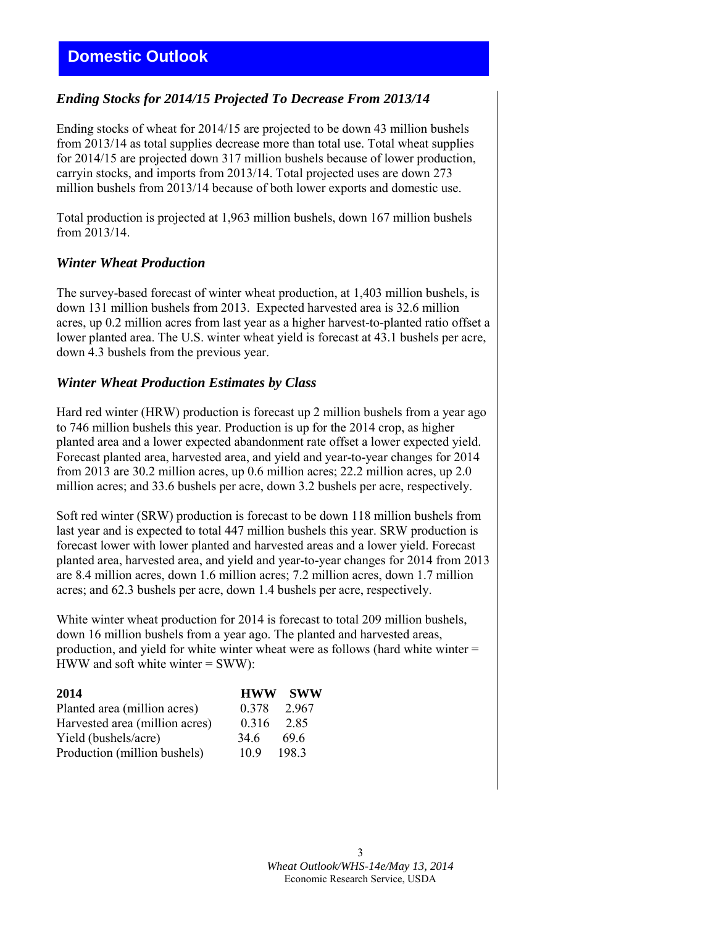# *Ending Stocks for 2014/15 Projected To Decrease From 2013/14*

Ending stocks of wheat for 2014/15 are projected to be down 43 million bushels from 2013/14 as total supplies decrease more than total use. Total wheat supplies for 2014/15 are projected down 317 million bushels because of lower production, carryin stocks, and imports from 2013/14. Total projected uses are down 273 million bushels from 2013/14 because of both lower exports and domestic use.

Total production is projected at 1,963 million bushels, down 167 million bushels from 2013/14.

## *Winter Wheat Production*

The survey-based forecast of winter wheat production, at 1,403 million bushels, is down 131 million bushels from 2013. Expected harvested area is 32.6 million acres, up 0.2 million acres from last year as a higher harvest-to-planted ratio offset a lower planted area. The U.S. winter wheat yield is forecast at 43.1 bushels per acre, down 4.3 bushels from the previous year.

### *Winter Wheat Production Estimates by Class*

Hard red winter (HRW) production is forecast up 2 million bushels from a year ago to 746 million bushels this year. Production is up for the 2014 crop, as higher planted area and a lower expected abandonment rate offset a lower expected yield. Forecast planted area, harvested area, and yield and year-to-year changes for 2014 from 2013 are 30.2 million acres, up 0.6 million acres; 22.2 million acres, up 2.0 million acres; and 33.6 bushels per acre, down 3.2 bushels per acre, respectively.

Soft red winter (SRW) production is forecast to be down 118 million bushels from last year and is expected to total 447 million bushels this year. SRW production is forecast lower with lower planted and harvested areas and a lower yield. Forecast planted area, harvested area, and yield and year-to-year changes for 2014 from 2013 are 8.4 million acres, down 1.6 million acres; 7.2 million acres, down 1.7 million acres; and 62.3 bushels per acre, down 1.4 bushels per acre, respectively.

White winter wheat production for 2014 is forecast to total 209 million bushels, down 16 million bushels from a year ago. The planted and harvested areas, production, and yield for white winter wheat were as follows (hard white winter = HWW and soft white winter  $=$  SWW):

| 2014                           | <b>HWW</b> | <b>SWW</b> |
|--------------------------------|------------|------------|
| Planted area (million acres)   | 0.378      | 2967       |
| Harvested area (million acres) | 0.316      | 285        |
| Yield (bushels/acre)           | 34.6       | 69.6       |
| Production (million bushels)   | 10.9       | 1983       |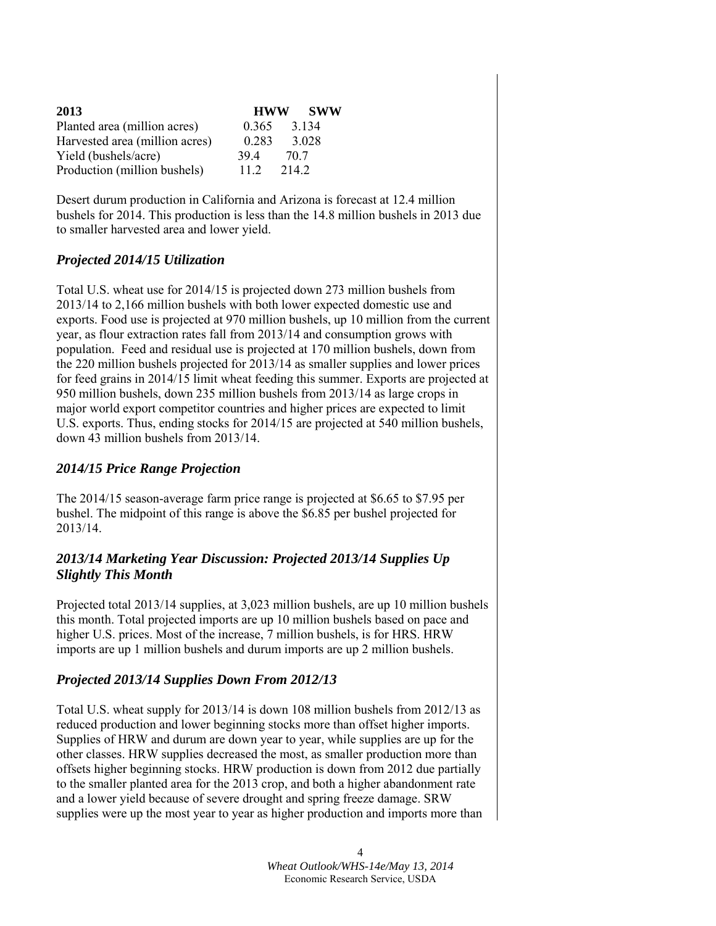| 2013                           | <b>HWW</b> | <b>SWW</b> |
|--------------------------------|------------|------------|
| Planted area (million acres)   | 0.365      | 3 1 3 4    |
| Harvested area (million acres) | 0.283      | 3.028      |
| Yield (bushels/acre)           | 394        | 70.7       |
| Production (million bushels)   | 11.2       | 2142       |

Desert durum production in California and Arizona is forecast at 12.4 million bushels for 2014. This production is less than the 14.8 million bushels in 2013 due to smaller harvested area and lower yield.

# *Projected 2014/15 Utilization*

Total U.S. wheat use for 2014/15 is projected down 273 million bushels from 2013/14 to 2,166 million bushels with both lower expected domestic use and exports. Food use is projected at 970 million bushels, up 10 million from the current year, as flour extraction rates fall from 2013/14 and consumption grows with population. Feed and residual use is projected at 170 million bushels, down from the 220 million bushels projected for 2013/14 as smaller supplies and lower prices for feed grains in 2014/15 limit wheat feeding this summer. Exports are projected at 950 million bushels, down 235 million bushels from 2013/14 as large crops in major world export competitor countries and higher prices are expected to limit U.S. exports. Thus, ending stocks for 2014/15 are projected at 540 million bushels, down 43 million bushels from 2013/14.

## *2014/15 Price Range Projection*

The 2014/15 season-average farm price range is projected at \$6.65 to \$7.95 per bushel. The midpoint of this range is above the \$6.85 per bushel projected for 2013/14.

# *2013/14 Marketing Year Discussion: Projected 2013/14 Supplies Up Slightly This Month*

Projected total 2013/14 supplies, at 3,023 million bushels, are up 10 million bushels this month. Total projected imports are up 10 million bushels based on pace and higher U.S. prices. Most of the increase, 7 million bushels, is for HRS. HRW imports are up 1 million bushels and durum imports are up 2 million bushels.

# *Projected 2013/14 Supplies Down From 2012/13*

Total U.S. wheat supply for 2013/14 is down 108 million bushels from 2012/13 as reduced production and lower beginning stocks more than offset higher imports. Supplies of HRW and durum are down year to year, while supplies are up for the other classes. HRW supplies decreased the most, as smaller production more than offsets higher beginning stocks. HRW production is down from 2012 due partially to the smaller planted area for the 2013 crop, and both a higher abandonment rate and a lower yield because of severe drought and spring freeze damage. SRW supplies were up the most year to year as higher production and imports more than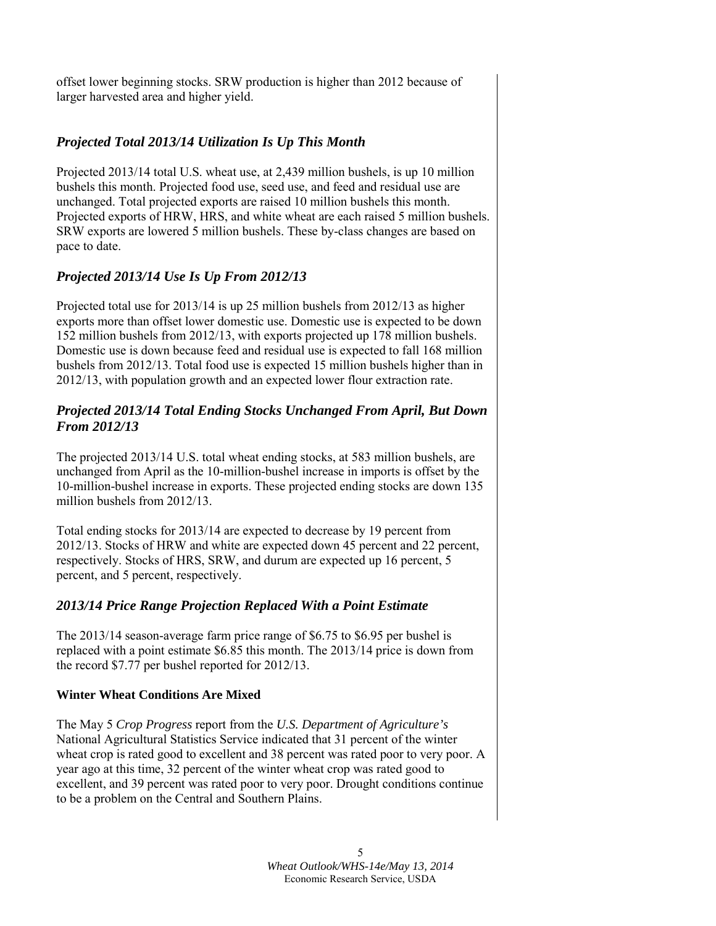offset lower beginning stocks. SRW production is higher than 2012 because of larger harvested area and higher yield.

# *Projected Total 2013/14 Utilization Is Up This Month*

Projected 2013/14 total U.S. wheat use, at 2,439 million bushels, is up 10 million bushels this month. Projected food use, seed use, and feed and residual use are unchanged. Total projected exports are raised 10 million bushels this month. Projected exports of HRW, HRS, and white wheat are each raised 5 million bushels. SRW exports are lowered 5 million bushels. These by-class changes are based on pace to date.

# *Projected 2013/14 Use Is Up From 2012/13*

Projected total use for 2013/14 is up 25 million bushels from 2012/13 as higher exports more than offset lower domestic use. Domestic use is expected to be down 152 million bushels from 2012/13, with exports projected up 178 million bushels. Domestic use is down because feed and residual use is expected to fall 168 million bushels from 2012/13. Total food use is expected 15 million bushels higher than in 2012/13, with population growth and an expected lower flour extraction rate.

# *Projected 2013/14 Total Ending Stocks Unchanged From April, But Down From 2012/13*

The projected 2013/14 U.S. total wheat ending stocks, at 583 million bushels, are unchanged from April as the 10-million-bushel increase in imports is offset by the 10-million-bushel increase in exports. These projected ending stocks are down 135 million bushels from 2012/13.

Total ending stocks for 2013/14 are expected to decrease by 19 percent from 2012/13. Stocks of HRW and white are expected down 45 percent and 22 percent, respectively. Stocks of HRS, SRW, and durum are expected up 16 percent, 5 percent, and 5 percent, respectively.

# *2013/14 Price Range Projection Replaced With a Point Estimate*

The 2013/14 season-average farm price range of \$6.75 to \$6.95 per bushel is replaced with a point estimate \$6.85 this month. The 2013/14 price is down from the record \$7.77 per bushel reported for 2012/13.

## **Winter Wheat Conditions Are Mixed**

The May 5 *Crop Progress* report from the *U.S. Department of Agriculture's* National Agricultural Statistics Service indicated that 31 percent of the winter wheat crop is rated good to excellent and 38 percent was rated poor to very poor. A year ago at this time, 32 percent of the winter wheat crop was rated good to excellent, and 39 percent was rated poor to very poor. Drought conditions continue to be a problem on the Central and Southern Plains.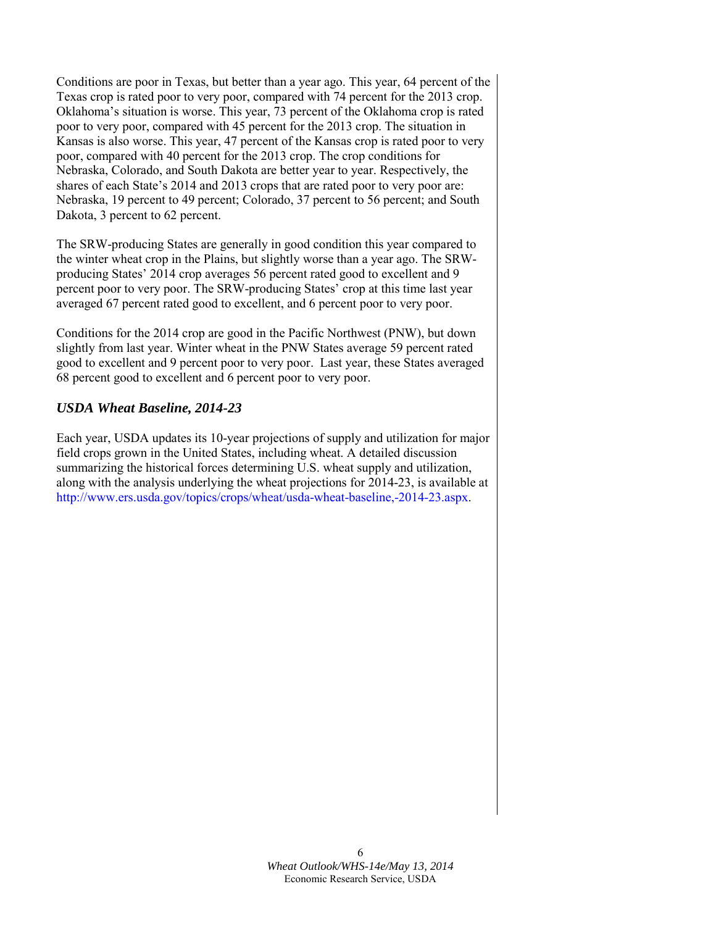Conditions are poor in Texas, but better than a year ago. This year, 64 percent of the Texas crop is rated poor to very poor, compared with 74 percent for the 2013 crop. Oklahoma's situation is worse. This year, 73 percent of the Oklahoma crop is rated poor to very poor, compared with 45 percent for the 2013 crop. The situation in Kansas is also worse. This year, 47 percent of the Kansas crop is rated poor to very poor, compared with 40 percent for the 2013 crop. The crop conditions for Nebraska, Colorado, and South Dakota are better year to year. Respectively, the shares of each State's 2014 and 2013 crops that are rated poor to very poor are: Nebraska, 19 percent to 49 percent; Colorado, 37 percent to 56 percent; and South Dakota, 3 percent to 62 percent.

The SRW-producing States are generally in good condition this year compared to the winter wheat crop in the Plains, but slightly worse than a year ago. The SRWproducing States' 2014 crop averages 56 percent rated good to excellent and 9 percent poor to very poor. The SRW-producing States' crop at this time last year averaged 67 percent rated good to excellent, and 6 percent poor to very poor.

Conditions for the 2014 crop are good in the Pacific Northwest (PNW), but down slightly from last year. Winter wheat in the PNW States average 59 percent rated good to excellent and 9 percent poor to very poor. Last year, these States averaged 68 percent good to excellent and 6 percent poor to very poor.

# *USDA Wheat Baseline, 2014-23*

Each year, USDA updates its 10-year projections of supply and utilization for major field crops grown in the United States, including wheat. A detailed discussion summarizing the historical forces determining U.S. wheat supply and utilization, along with the analysis underlying the wheat projections for 2014-23, is available at http://www.ers.usda.gov/topics/crops/wheat/usda-wheat-baseline,-2014-23.aspx.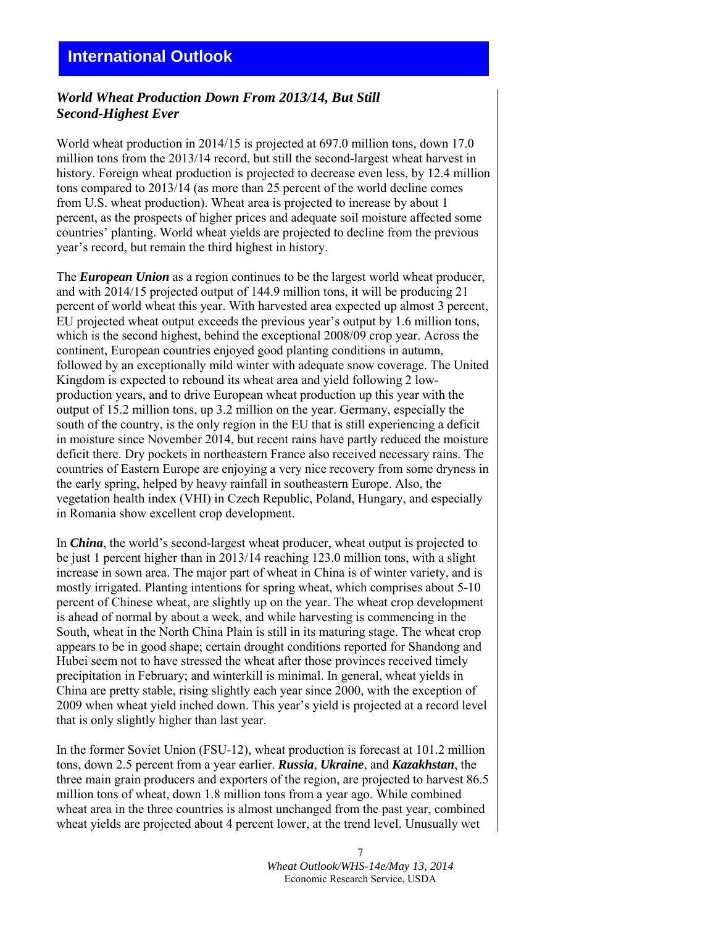# **International Outlook**

### *World Wheat Production Down From 2013/14, But Still Second-Highest Ever*

World wheat production in 2014/15 is projected at 697.0 million tons, down 17.0 million tons from the 2013/14 record, but still the second-largest wheat harvest in history. Foreign wheat production is projected to decrease even less, by 12.4 million tons compared to 2013/14 (as more than 25 percent of the world decline comes from U.S. wheat production). Wheat area is projected to increase by about 1 percent, as the prospects of higher prices and adequate soil moisture affected some countries' planting. World wheat yields are projected to decline from the previous year's record, but remain the third highest in history.

The *European Union* as a region continues to be the largest world wheat producer, and with 2014/15 projected output of 144.9 million tons, it will be producing 21 percent of world wheat this year. With harvested area expected up almost 3 percent, EU projected wheat output exceeds the previous year's output by 1.6 million tons, which is the second highest, behind the exceptional 2008/09 crop year. Across the continent, European countries enjoyed good planting conditions in autumn, followed by an exceptionally mild winter with adequate snow coverage. The United Kingdom is expected to rebound its wheat area and yield following 2 lowproduction years, and to drive European wheat production up this year with the output of 15.2 million tons, up 3.2 million on the year. Germany, especially the south of the country, is the only region in the EU that is still experiencing a deficit in moisture since November 2014, but recent rains have partly reduced the moisture deficit there. Dry pockets in northeastern France also received necessary rains. The countries of Eastern Europe are enjoying a very nice recovery from some dryness in the early spring, helped by heavy rainfall in southeastern Europe. Also, the vegetation health index (VHI) in Czech Republic, Poland, Hungary, and especially in Romania show excellent crop development.

In *China*, the world's second-largest wheat producer, wheat output is projected to be just 1 percent higher than in 2013/14 reaching 123.0 million tons, with a slight increase in sown area. The major part of wheat in China is of winter variety, and is mostly irrigated. Planting intentions for spring wheat, which comprises about 5-10 percent of Chinese wheat, are slightly up on the year. The wheat crop development is ahead of normal by about a week, and while harvesting is commencing in the South, wheat in the North China Plain is still in its maturing stage. The wheat crop appears to be in good shape; certain drought conditions reported for Shandong and Hubei seem not to have stressed the wheat after those provinces received timely precipitation in February; and winterkill is minimal. In general, wheat yields in China are pretty stable, rising slightly each year since 2000, with the exception of 2009 when wheat yield inched down. This year's yield is projected at a record level that is only slightly higher than last year.

In the former Soviet Union (FSU-12), wheat production is forecast at 101.2 million tons, down 2.5 percent from a year earlier. *Russia*, *Ukraine*, and *Kazakhstan*, the three main grain producers and exporters of the region, are projected to harvest 86.5 million tons of wheat, down 1.8 million tons from a year ago. While combined wheat area in the three countries is almost unchanged from the past year, combined wheat yields are projected about 4 percent lower, at the trend level. Unusually wet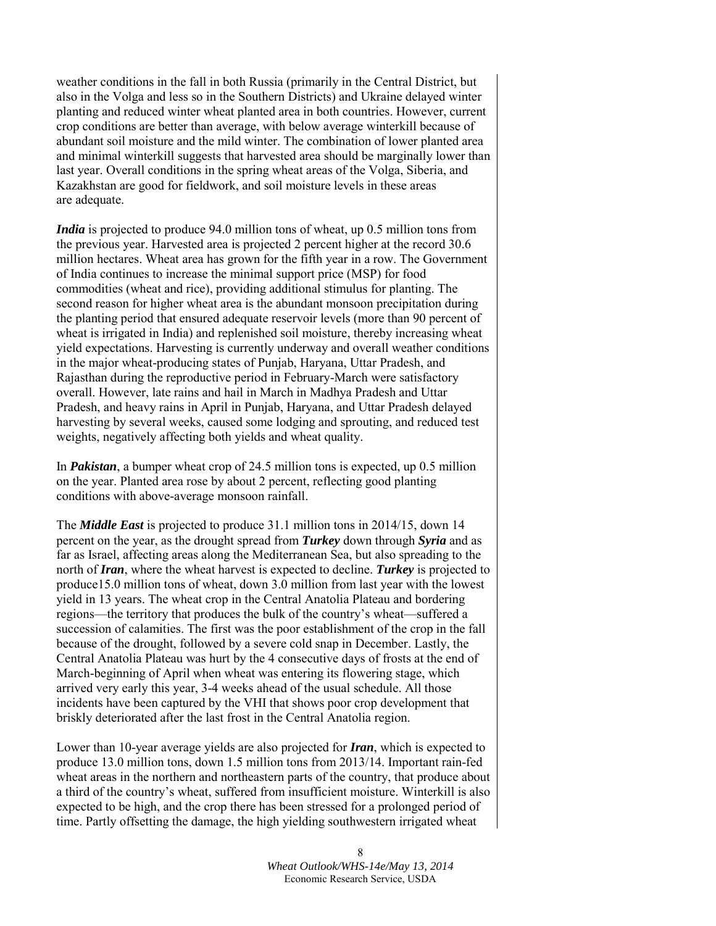weather conditions in the fall in both Russia (primarily in the Central District, but also in the Volga and less so in the Southern Districts) and Ukraine delayed winter planting and reduced winter wheat planted area in both countries. However, current crop conditions are better than average, with below average winterkill because of abundant soil moisture and the mild winter. The combination of lower planted area and minimal winterkill suggests that harvested area should be marginally lower than last year. Overall conditions in the spring wheat areas of the Volga, Siberia, and Kazakhstan are good for fieldwork, and soil moisture levels in these areas are adequate.

*India* is projected to produce 94.0 million tons of wheat, up 0.5 million tons from the previous year. Harvested area is projected 2 percent higher at the record 30.6 million hectares. Wheat area has grown for the fifth year in a row. The Government of India continues to increase the minimal support price (MSP) for food commodities (wheat and rice), providing additional stimulus for planting. The second reason for higher wheat area is the abundant monsoon precipitation during the planting period that ensured adequate reservoir levels (more than 90 percent of wheat is irrigated in India) and replenished soil moisture, thereby increasing wheat yield expectations. Harvesting is currently underway and overall weather conditions in the major wheat-producing states of Punjab, Haryana, Uttar Pradesh, and Rajasthan during the reproductive period in February-March were satisfactory overall. However, late rains and hail in March in Madhya Pradesh and Uttar Pradesh, and heavy rains in April in Punjab, Haryana, and Uttar Pradesh delayed harvesting by several weeks, caused some lodging and sprouting, and reduced test weights, negatively affecting both yields and wheat quality.

In *Pakistan*, a bumper wheat crop of 24.5 million tons is expected, up 0.5 million on the year. Planted area rose by about 2 percent, reflecting good planting conditions with above-average monsoon rainfall.

The *Middle East* is projected to produce 31.1 million tons in 2014/15, down 14 percent on the year, as the drought spread from *Turkey* down through *Syria* and as far as Israel, affecting areas along the Mediterranean Sea, but also spreading to the north of *Iran*, where the wheat harvest is expected to decline. *Turkey* is projected to produce15.0 million tons of wheat, down 3.0 million from last year with the lowest yield in 13 years. The wheat crop in the Central Anatolia Plateau and bordering regions—the territory that produces the bulk of the country's wheat—suffered a succession of calamities. The first was the poor establishment of the crop in the fall because of the drought, followed by a severe cold snap in December. Lastly, the Central Anatolia Plateau was hurt by the 4 consecutive days of frosts at the end of March-beginning of April when wheat was entering its flowering stage, which arrived very early this year, 3-4 weeks ahead of the usual schedule. All those incidents have been captured by the VHI that shows poor crop development that briskly deteriorated after the last frost in the Central Anatolia region.

Lower than 10-year average yields are also projected for *Iran*, which is expected to produce 13.0 million tons, down 1.5 million tons from 2013/14. Important rain-fed wheat areas in the northern and northeastern parts of the country, that produce about a third of the country's wheat, suffered from insufficient moisture. Winterkill is also expected to be high, and the crop there has been stressed for a prolonged period of time. Partly offsetting the damage, the high yielding southwestern irrigated wheat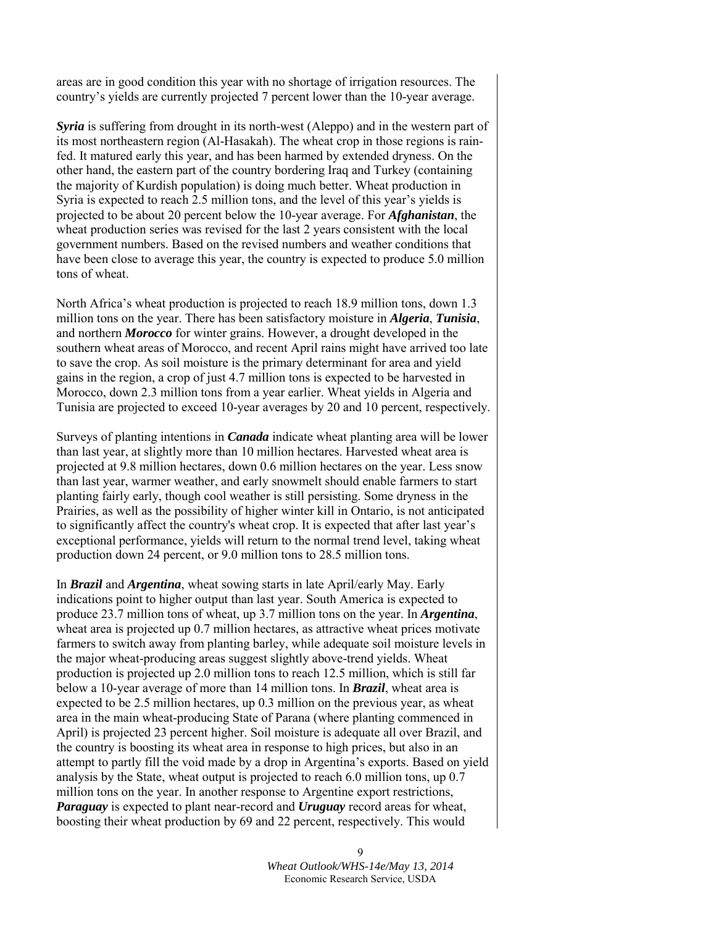areas are in good condition this year with no shortage of irrigation resources. The country's yields are currently projected 7 percent lower than the 10-year average.

*Syria* is suffering from drought in its north-west (Aleppo) and in the western part of its most northeastern region (Al-Hasakah). The wheat crop in those regions is rainfed. It matured early this year, and has been harmed by extended dryness. On the other hand, the eastern part of the country bordering Iraq and Turkey (containing the majority of Kurdish population) is doing much better. Wheat production in Syria is expected to reach 2.5 million tons, and the level of this year's yields is projected to be about 20 percent below the 10-year average. For *Afghanistan*, the wheat production series was revised for the last 2 years consistent with the local government numbers. Based on the revised numbers and weather conditions that have been close to average this year, the country is expected to produce 5.0 million tons of wheat.

North Africa's wheat production is projected to reach 18.9 million tons, down 1.3 million tons on the year. There has been satisfactory moisture in *Algeria*, *Tunisia*, and northern *Morocco* for winter grains. However, a drought developed in the southern wheat areas of Morocco, and recent April rains might have arrived too late to save the crop. As soil moisture is the primary determinant for area and yield gains in the region, a crop of just 4.7 million tons is expected to be harvested in Morocco, down 2.3 million tons from a year earlier. Wheat yields in Algeria and Tunisia are projected to exceed 10-year averages by 20 and 10 percent, respectively.

Surveys of planting intentions in *Canada* indicate wheat planting area will be lower than last year, at slightly more than 10 million hectares. Harvested wheat area is projected at 9.8 million hectares, down 0.6 million hectares on the year. Less snow than last year, warmer weather, and early snowmelt should enable farmers to start planting fairly early, though cool weather is still persisting. Some dryness in the Prairies, as well as the possibility of higher winter kill in Ontario, is not anticipated to significantly affect the country's wheat crop. It is expected that after last year's exceptional performance, yields will return to the normal trend level, taking wheat production down 24 percent, or 9.0 million tons to 28.5 million tons.

In *Brazil* and *Argentina*, wheat sowing starts in late April/early May. Early indications point to higher output than last year. South America is expected to produce 23.7 million tons of wheat, up 3.7 million tons on the year. In *Argentina*, wheat area is projected up 0.7 million hectares, as attractive wheat prices motivate farmers to switch away from planting barley, while adequate soil moisture levels in the major wheat-producing areas suggest slightly above-trend yields. Wheat production is projected up 2.0 million tons to reach 12.5 million, which is still far below a 10-year average of more than 14 million tons. In *Brazil*, wheat area is expected to be 2.5 million hectares, up 0.3 million on the previous year, as wheat area in the main wheat-producing State of Parana (where planting commenced in April) is projected 23 percent higher. Soil moisture is adequate all over Brazil, and the country is boosting its wheat area in response to high prices, but also in an attempt to partly fill the void made by a drop in Argentina's exports. Based on yield analysis by the State, wheat output is projected to reach 6.0 million tons, up 0.7 million tons on the year. In another response to Argentine export restrictions, *Paraguay* is expected to plant near-record and *Uruguay* record areas for wheat, boosting their wheat production by 69 and 22 percent, respectively. This would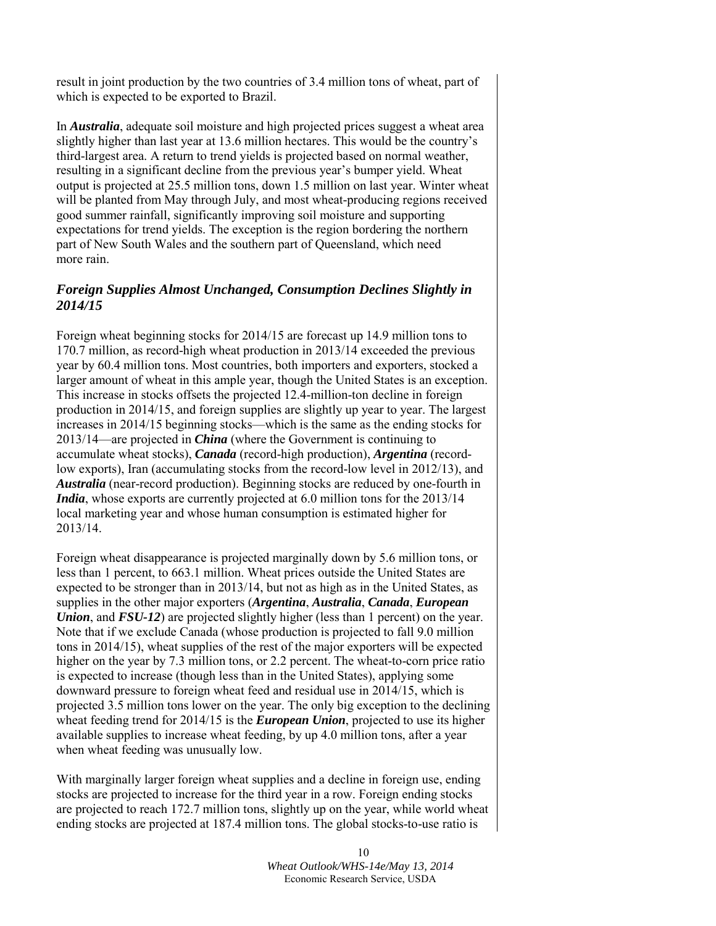result in joint production by the two countries of 3.4 million tons of wheat, part of which is expected to be exported to Brazil.

In *Australia*, adequate soil moisture and high projected prices suggest a wheat area slightly higher than last year at 13.6 million hectares. This would be the country's third-largest area. A return to trend yields is projected based on normal weather, resulting in a significant decline from the previous year's bumper yield. Wheat output is projected at 25.5 million tons, down 1.5 million on last year. Winter wheat will be planted from May through July, and most wheat-producing regions received good summer rainfall, significantly improving soil moisture and supporting expectations for trend yields. The exception is the region bordering the northern part of New South Wales and the southern part of Queensland, which need more rain.

# *Foreign Supplies Almost Unchanged, Consumption Declines Slightly in 2014/15*

Foreign wheat beginning stocks for 2014/15 are forecast up 14.9 million tons to 170.7 million, as record-high wheat production in 2013/14 exceeded the previous year by 60.4 million tons. Most countries, both importers and exporters, stocked a larger amount of wheat in this ample year, though the United States is an exception. This increase in stocks offsets the projected 12.4-million-ton decline in foreign production in 2014/15, and foreign supplies are slightly up year to year. The largest increases in 2014/15 beginning stocks—which is the same as the ending stocks for 2013/14—are projected in *China* (where the Government is continuing to accumulate wheat stocks), *Canada* (record-high production), *Argentina* (recordlow exports), Iran (accumulating stocks from the record-low level in 2012/13), and *Australia* (near-record production). Beginning stocks are reduced by one-fourth in *India*, whose exports are currently projected at 6.0 million tons for the 2013/14 local marketing year and whose human consumption is estimated higher for 2013/14.

Foreign wheat disappearance is projected marginally down by 5.6 million tons, or less than 1 percent, to 663.1 million. Wheat prices outside the United States are expected to be stronger than in 2013/14, but not as high as in the United States, as supplies in the other major exporters (*Argentina*, *Australia*, *Canada*, *European Union*, and *FSU-12*) are projected slightly higher (less than 1 percent) on the year. Note that if we exclude Canada (whose production is projected to fall 9.0 million tons in 2014/15), wheat supplies of the rest of the major exporters will be expected higher on the year by 7.3 million tons, or 2.2 percent. The wheat-to-corn price ratio is expected to increase (though less than in the United States), applying some downward pressure to foreign wheat feed and residual use in 2014/15, which is projected 3.5 million tons lower on the year. The only big exception to the declining wheat feeding trend for 2014/15 is the *European Union*, projected to use its higher available supplies to increase wheat feeding, by up 4.0 million tons, after a year when wheat feeding was unusually low.

With marginally larger foreign wheat supplies and a decline in foreign use, ending stocks are projected to increase for the third year in a row. Foreign ending stocks are projected to reach 172.7 million tons, slightly up on the year, while world wheat ending stocks are projected at 187.4 million tons. The global stocks-to-use ratio is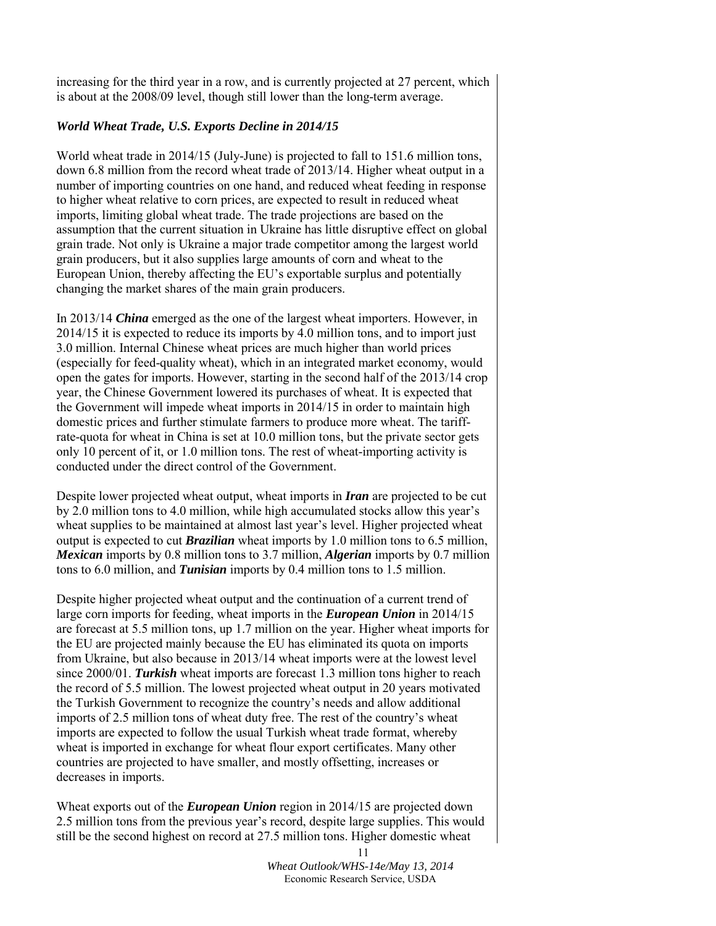increasing for the third year in a row, and is currently projected at 27 percent, which is about at the 2008/09 level, though still lower than the long-term average.

### *World Wheat Trade, U.S. Exports Decline in 2014/15*

World wheat trade in 2014/15 (July-June) is projected to fall to 151.6 million tons, down 6.8 million from the record wheat trade of 2013/14. Higher wheat output in a number of importing countries on one hand, and reduced wheat feeding in response to higher wheat relative to corn prices, are expected to result in reduced wheat imports, limiting global wheat trade. The trade projections are based on the assumption that the current situation in Ukraine has little disruptive effect on global grain trade. Not only is Ukraine a major trade competitor among the largest world grain producers, but it also supplies large amounts of corn and wheat to the European Union, thereby affecting the EU's exportable surplus and potentially changing the market shares of the main grain producers.

In 2013/14 *China* emerged as the one of the largest wheat importers. However, in 2014/15 it is expected to reduce its imports by 4.0 million tons, and to import just 3.0 million. Internal Chinese wheat prices are much higher than world prices (especially for feed-quality wheat), which in an integrated market economy, would open the gates for imports. However, starting in the second half of the 2013/14 crop year, the Chinese Government lowered its purchases of wheat. It is expected that the Government will impede wheat imports in 2014/15 in order to maintain high domestic prices and further stimulate farmers to produce more wheat. The tariffrate-quota for wheat in China is set at 10.0 million tons, but the private sector gets only 10 percent of it, or 1.0 million tons. The rest of wheat-importing activity is conducted under the direct control of the Government.

Despite lower projected wheat output, wheat imports in *Iran* are projected to be cut by 2.0 million tons to 4.0 million, while high accumulated stocks allow this year's wheat supplies to be maintained at almost last year's level. Higher projected wheat output is expected to cut *Brazilian* wheat imports by 1.0 million tons to 6.5 million, *Mexican* imports by 0.8 million tons to 3.7 million, *Algerian* imports by 0.7 million tons to 6.0 million, and *Tunisian* imports by 0.4 million tons to 1.5 million.

Despite higher projected wheat output and the continuation of a current trend of large corn imports for feeding, wheat imports in the *European Union* in 2014/15 are forecast at 5.5 million tons, up 1.7 million on the year. Higher wheat imports for the EU are projected mainly because the EU has eliminated its quota on imports from Ukraine, but also because in 2013/14 wheat imports were at the lowest level since 2000/01. *Turkish* wheat imports are forecast 1.3 million tons higher to reach the record of 5.5 million. The lowest projected wheat output in 20 years motivated the Turkish Government to recognize the country's needs and allow additional imports of 2.5 million tons of wheat duty free. The rest of the country's wheat imports are expected to follow the usual Turkish wheat trade format, whereby wheat is imported in exchange for wheat flour export certificates. Many other countries are projected to have smaller, and mostly offsetting, increases or decreases in imports.

Wheat exports out of the *European Union* region in 2014/15 are projected down 2.5 million tons from the previous year's record, despite large supplies. This would still be the second highest on record at 27.5 million tons. Higher domestic wheat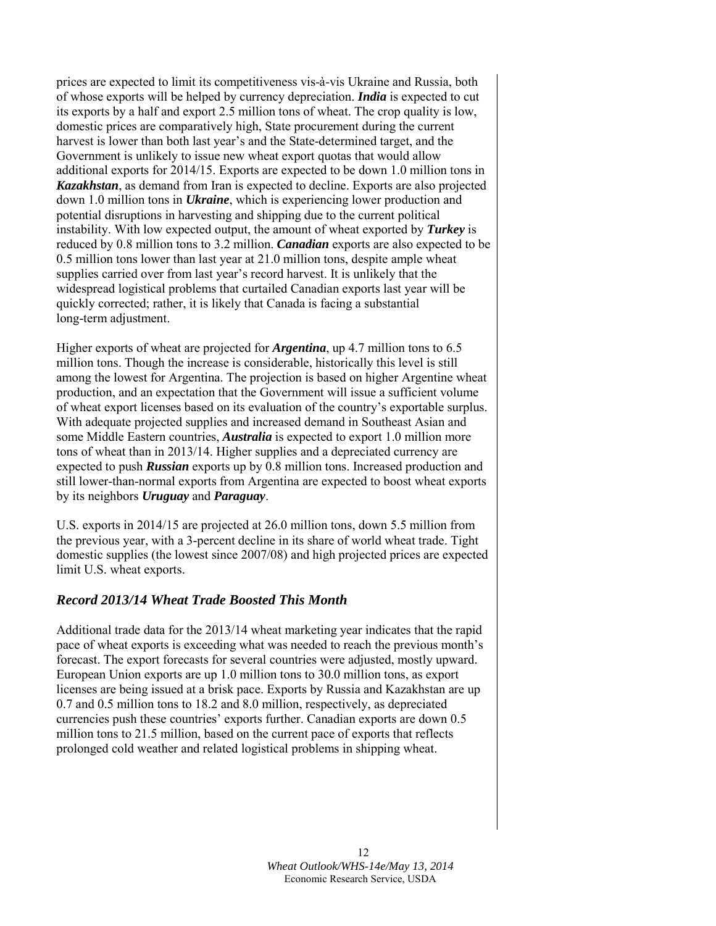prices are expected to limit its competitiveness vis-à-vis Ukraine and Russia, both of whose exports will be helped by currency depreciation. *India* is expected to cut its exports by a half and export 2.5 million tons of wheat. The crop quality is low, domestic prices are comparatively high, State procurement during the current harvest is lower than both last year's and the State-determined target, and the Government is unlikely to issue new wheat export quotas that would allow additional exports for 2014/15. Exports are expected to be down 1.0 million tons in *Kazakhstan*, as demand from Iran is expected to decline. Exports are also projected down 1.0 million tons in *Ukraine*, which is experiencing lower production and potential disruptions in harvesting and shipping due to the current political instability. With low expected output, the amount of wheat exported by *Turkey* is reduced by 0.8 million tons to 3.2 million. *Canadian* exports are also expected to be 0.5 million tons lower than last year at 21.0 million tons, despite ample wheat supplies carried over from last year's record harvest. It is unlikely that the widespread logistical problems that curtailed Canadian exports last year will be quickly corrected; rather, it is likely that Canada is facing a substantial long-term adjustment.

Higher exports of wheat are projected for *Argentina*, up 4.7 million tons to 6.5 million tons. Though the increase is considerable, historically this level is still among the lowest for Argentina. The projection is based on higher Argentine wheat production, and an expectation that the Government will issue a sufficient volume of wheat export licenses based on its evaluation of the country's exportable surplus. With adequate projected supplies and increased demand in Southeast Asian and some Middle Eastern countries, *Australia* is expected to export 1.0 million more tons of wheat than in 2013/14. Higher supplies and a depreciated currency are expected to push *Russian* exports up by 0.8 million tons. Increased production and still lower-than-normal exports from Argentina are expected to boost wheat exports by its neighbors *Uruguay* and *Paraguay*.

U.S. exports in 2014/15 are projected at 26.0 million tons, down 5.5 million from the previous year, with a 3-percent decline in its share of world wheat trade. Tight domestic supplies (the lowest since 2007/08) and high projected prices are expected limit U.S. wheat exports.

## *Record 2013/14 Wheat Trade Boosted This Month*

Additional trade data for the 2013/14 wheat marketing year indicates that the rapid pace of wheat exports is exceeding what was needed to reach the previous month's forecast. The export forecasts for several countries were adjusted, mostly upward. European Union exports are up 1.0 million tons to 30.0 million tons, as export licenses are being issued at a brisk pace. Exports by Russia and Kazakhstan are up 0.7 and 0.5 million tons to 18.2 and 8.0 million, respectively, as depreciated currencies push these countries' exports further. Canadian exports are down 0.5 million tons to 21.5 million, based on the current pace of exports that reflects prolonged cold weather and related logistical problems in shipping wheat.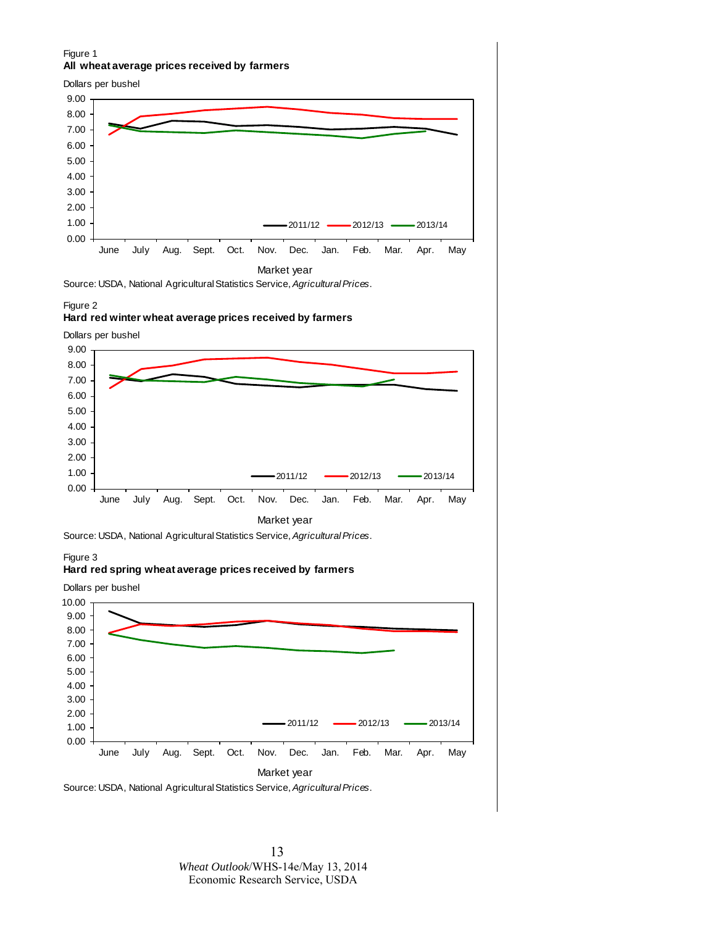### Figure 1 **All wheat average prices received by farmers**



Source: USDA, National Agricultural Statistics Service, *Agricultural Prices*.

#### Figure 2

#### **Hard red winter wheat average prices received by farmers**

Dollars per bushel



Source: USDA, National Agricultural Statistics Service, *Agricultural Prices*.

### Figure 3

### **Hard red spring wheat average prices received by farmers**

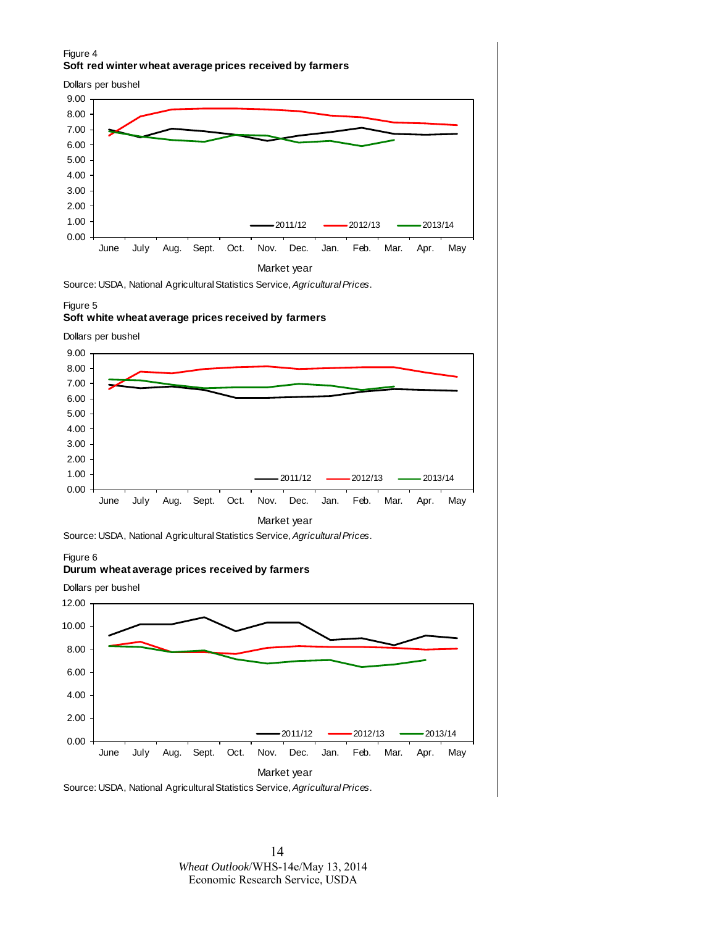### Figure 4 **Soft red winter wheat average prices received by farmers**





Source: USDA, National Agricultural Statistics Service, *Agricultural Prices*.

#### Figure 5

#### **Soft white wheat average prices received by farmers**

Dollars per bushel





#### Figure 6

#### **Durum wheat average prices received by farmers**



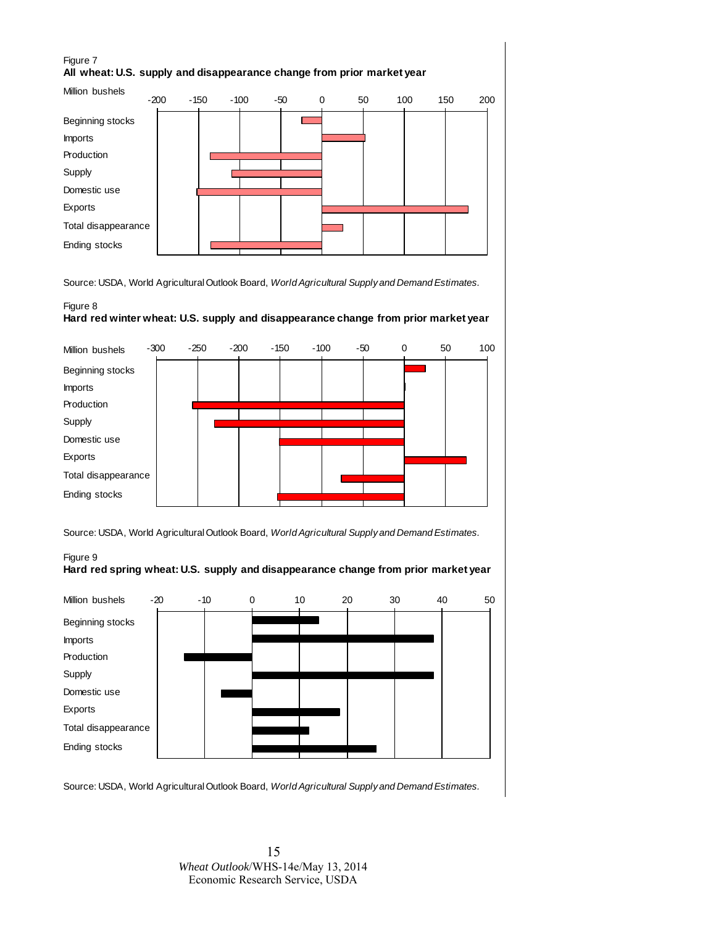### Figure 7 **All wheat: U.S. supply and disappearance change from prior market year**



Source: USDA, World Agricultural Outlook Board, *World Agricultural Supply and Demand Estimates.*

### Figure 8 **Hard red winter wheat: U.S. supply and disappearance change from prior market year**



Source: USDA, World Agricultural Outlook Board, *World Agricultural Supply and Demand Estimates.*



Figure 9

Source: USDA, World Agricultural Outlook Board, *World Agricultural Supply and Demand Estimates.*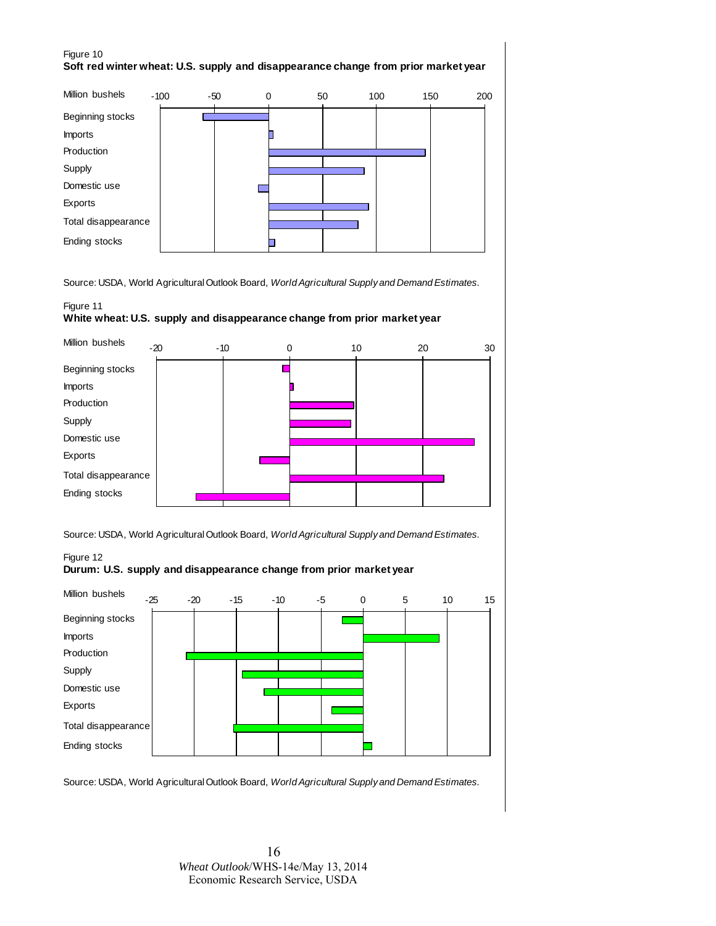### Figure 10 **Soft red winter wheat: U.S. supply and disappearance change from prior market year**



Source: USDA, World Agricultural Outlook Board, *World Agricultural Supply and Demand Estimates.*

### Figure 11

#### **White wheat: U.S. supply and disappearance change from prior market year**



Source: USDA, World Agricultural Outlook Board, *World Agricultural Supply and Demand Estimates.*

### Figure 12 **Durum: U.S. supply and disappearance change from prior market year**



Source: USDA, World Agricultural Outlook Board, *World Agricultural Supply and Demand Estimates.*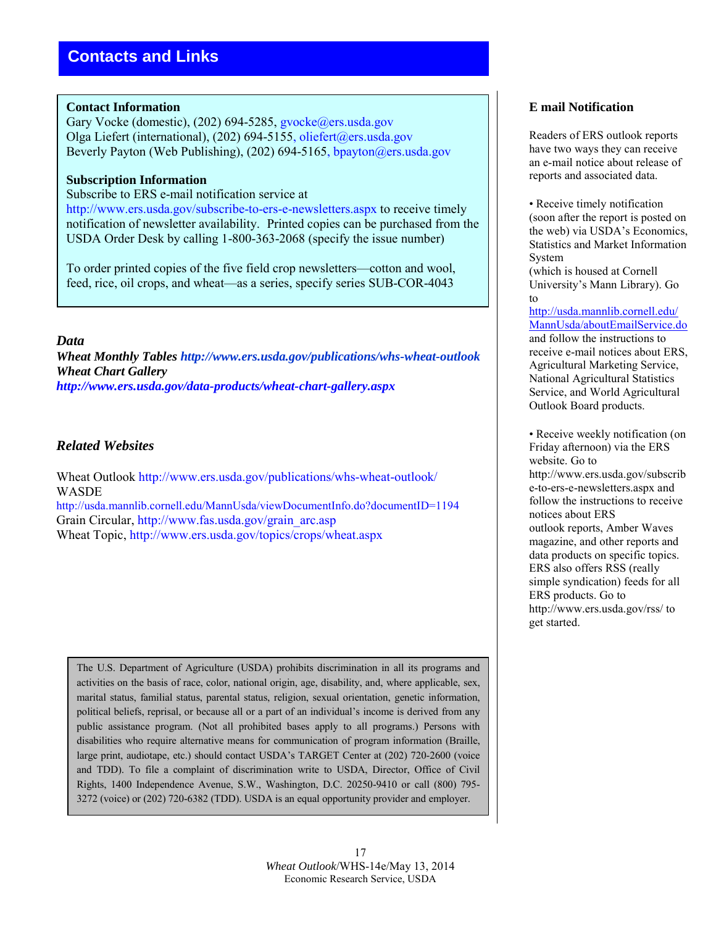### **Contact Information**

Gary Vocke (domestic), (202) 694-5285, gvocke@ers.usda.gov Olga Liefert (international), (202) 694-5155, [oliefert@ers.usda.gov](mailto:oliefert@ers.usda.gov) Beverly Payton (Web Publishing), (202) 694-5165, [bpayton@ers.usda.gov](mailto:bpayton@ers.usda.gov)

### **Subscription Information**

Subscribe to ERS e-mail notification service at

http://www.ers.usda.gov/subscribe-to-ers-e-newsletters.aspx to receive timely notification of newsletter availability. Printed copies can be purchased from the USDA Order Desk by calling 1-800-363-2068 (specify the issue number)

To order printed copies of the five field crop newsletters—cotton and wool, feed, rice, oil crops, and wheat—as a series, specify series SUB-COR-4043

### *Data*

*Wheat Monthly Tables http://www.ers.usda.gov/publications/whs-wheat-outlook Wheat Chart Gallery http://www.ers.usda.gov/data-products/wheat-chart-gallery.aspx*

## *Related Websites*

Wheat Outlook http://www.ers.usda.gov/publications/whs-wheat-outlook/ WASDE http://usda.mannlib.cornell.edu/MannUsda/viewDocumentInfo.do?documentID=1194 Grain Circular, http://www.fas.usda.gov/grain\_arc.asp Wheat Topic, http://www.ers.usda.gov/topics/crops/wheat.aspx

The U.S. Department of Agriculture (USDA) prohibits discrimination in all its programs and activities on the basis of race, color, national origin, age, disability, and, where applicable, sex, marital status, familial status, parental status, religion, sexual orientation, genetic information, political beliefs, reprisal, or because all or a part of an individual's income is derived from any public assistance program. (Not all prohibited bases apply to all programs.) Persons with disabilities who require alternative means for communication of program information (Braille, large print, audiotape, etc.) should contact USDA's TARGET Center at (202) 720-2600 (voice and TDD). To file a complaint of discrimination write to USDA, Director, Office of Civil Rights, 1400 Independence Avenue, S.W., Washington, D.C. 20250-9410 or call (800) 795- 3272 (voice) or (202) 720-6382 (TDD). USDA is an equal opportunity provider and employer.

# **E mail Notification**

Readers of ERS outlook reports have two ways they can receive an e-mail notice about release of reports and associated data.

• Receive timely notification (soon after the report is posted on the web) via USDA's Economics, Statistics and Market Information System

(which is housed at Cornell University's Mann Library). Go to

[http://usda.mannlib.cornell.edu/](http://usda.mannlib.cornell.edu/MannUsda/aboutEmailService.do) [MannUsda/aboutEmailService.do](http://usda.mannlib.cornell.edu/MannUsda/aboutEmailService.do) and follow the instructions to receive e-mail notices about ERS, Agricultural Marketing Service, National Agricultural Statistics Service, and World Agricultural Outlook Board products.

• Receive weekly notification (on Friday afternoon) via the ERS website. Go to http://www.ers.usda.gov/subscrib e-to-ers-e-newsletters.aspx and follow the instructions to receive notices about ERS outlook reports, Amber Waves magazine, and other reports and data products on specific topics. ERS also offers RSS (really simple syndication) feeds for all ERS products. Go to http://www.ers.usda.gov/rss/ to get started.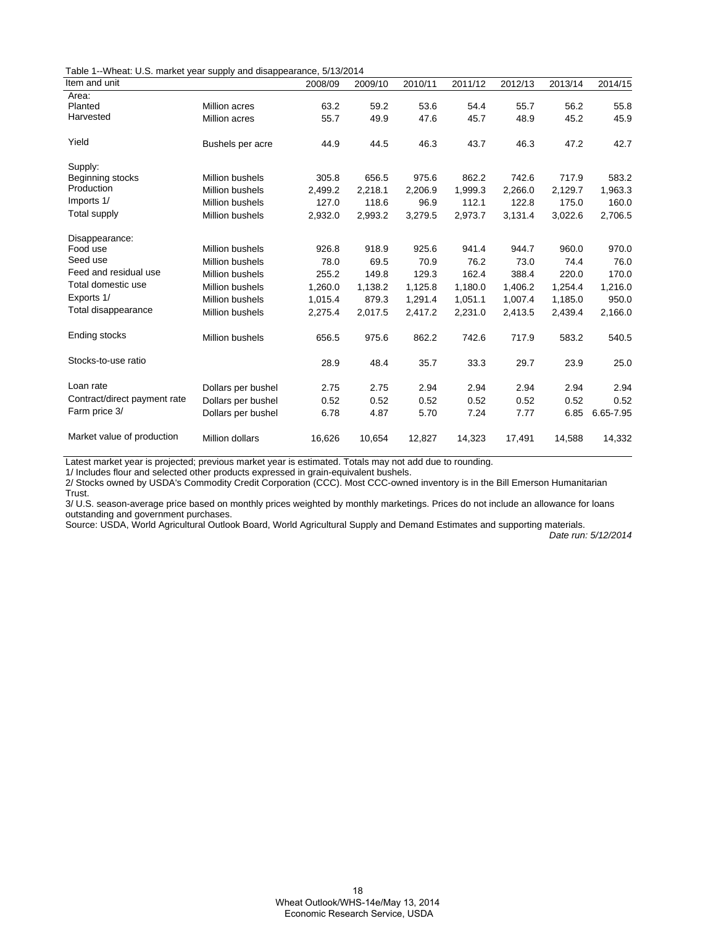Table 1--Wheat: U.S. market year supply and disappearance, 5/13/2014

| Item and unit                |                        | 2008/09 | 2009/10 | 2010/11 | 2011/12 | 2012/13 | 2013/14 | 2014/15   |
|------------------------------|------------------------|---------|---------|---------|---------|---------|---------|-----------|
| Area:                        |                        |         |         |         |         |         |         |           |
| Planted                      | Million acres          | 63.2    | 59.2    | 53.6    | 54.4    | 55.7    | 56.2    | 55.8      |
| Harvested                    | <b>Million acres</b>   | 55.7    | 49.9    | 47.6    | 45.7    | 48.9    | 45.2    | 45.9      |
| Yield                        | Bushels per acre       | 44.9    | 44.5    | 46.3    | 43.7    | 46.3    | 47.2    | 42.7      |
| Supply:                      |                        |         |         |         |         |         |         |           |
| Beginning stocks             | Million bushels        | 305.8   | 656.5   | 975.6   | 862.2   | 742.6   | 717.9   | 583.2     |
| Production                   | <b>Million bushels</b> | 2,499.2 | 2.218.1 | 2,206.9 | 1,999.3 | 2,266.0 | 2,129.7 | 1,963.3   |
| Imports 1/                   | <b>Million bushels</b> | 127.0   | 118.6   | 96.9    | 112.1   | 122.8   | 175.0   | 160.0     |
| <b>Total supply</b>          | <b>Million bushels</b> | 2,932.0 | 2,993.2 | 3,279.5 | 2,973.7 | 3,131.4 | 3,022.6 | 2,706.5   |
| Disappearance:               |                        |         |         |         |         |         |         |           |
| Food use                     | <b>Million bushels</b> | 926.8   | 918.9   | 925.6   | 941.4   | 944.7   | 960.0   | 970.0     |
| Seed use                     | <b>Million bushels</b> | 78.0    | 69.5    | 70.9    | 76.2    | 73.0    | 74.4    | 76.0      |
| Feed and residual use        | <b>Million bushels</b> | 255.2   | 149.8   | 129.3   | 162.4   | 388.4   | 220.0   | 170.0     |
| Total domestic use           | <b>Million bushels</b> | 1,260.0 | 1,138.2 | 1,125.8 | 1,180.0 | 1,406.2 | 1,254.4 | 1,216.0   |
| Exports 1/                   | <b>Million bushels</b> | 1,015.4 | 879.3   | 1,291.4 | 1,051.1 | 1,007.4 | 1,185.0 | 950.0     |
| Total disappearance          | Million bushels        | 2,275.4 | 2,017.5 | 2,417.2 | 2,231.0 | 2,413.5 | 2,439.4 | 2,166.0   |
| Ending stocks                | <b>Million bushels</b> | 656.5   | 975.6   | 862.2   | 742.6   | 717.9   | 583.2   | 540.5     |
| Stocks-to-use ratio          |                        | 28.9    | 48.4    | 35.7    | 33.3    | 29.7    | 23.9    | 25.0      |
| Loan rate                    | Dollars per bushel     | 2.75    | 2.75    | 2.94    | 2.94    | 2.94    | 2.94    | 2.94      |
| Contract/direct payment rate | Dollars per bushel     | 0.52    | 0.52    | 0.52    | 0.52    | 0.52    | 0.52    | 0.52      |
| Farm price 3/                | Dollars per bushel     | 6.78    | 4.87    | 5.70    | 7.24    | 7.77    | 6.85    | 6.65-7.95 |
| Market value of production   | <b>Million dollars</b> | 16,626  | 10,654  | 12,827  | 14,323  | 17,491  | 14,588  | 14,332    |

Latest market year is projected; previous market year is estimated. Totals may not add due to rounding.

1/ Includes flour and selected other products expressed in grain-equivalent bushels.

2/ Stocks owned by USDA's Commodity Credit Corporation (CCC). Most CCC-owned inventory is in the Bill Emerson Humanitarian Trust.

3/ U.S. season-average price based on monthly prices weighted by monthly marketings. Prices do not include an allowance for loans outstanding and government purchases.

Source: USDA, World Agricultural Outlook Board, World Agricultural Supply and Demand Estimates and supporting materials.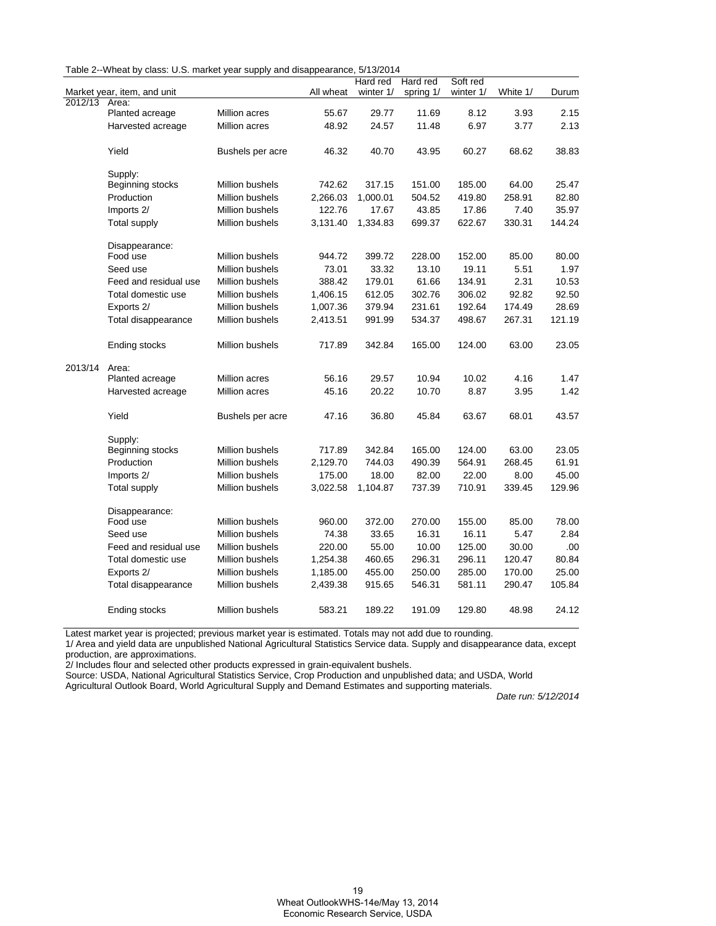|         |                             |                        |           | Hard red  | Hard red  | Soft red  |          |        |
|---------|-----------------------------|------------------------|-----------|-----------|-----------|-----------|----------|--------|
|         | Market year, item, and unit |                        | All wheat | winter 1/ | spring 1/ | winter 1/ | White 1/ | Durum  |
| 2012/13 | Area:                       |                        |           |           |           |           |          |        |
|         | Planted acreage             | Million acres          | 55.67     | 29.77     | 11.69     | 8.12      | 3.93     | 2.15   |
| 2013/14 | Harvested acreage           | Million acres          | 48.92     | 24.57     | 11.48     | 6.97      | 3.77     | 2.13   |
|         | Yield                       | Bushels per acre       | 46.32     | 40.70     | 43.95     | 60.27     | 68.62    | 38.83  |
|         | Supply:                     |                        |           |           |           |           |          |        |
|         | Beginning stocks            | Million bushels        | 742.62    | 317.15    | 151.00    | 185.00    | 64.00    | 25.47  |
|         | Production                  | <b>Million bushels</b> | 2,266.03  | 1,000.01  | 504.52    | 419.80    | 258.91   | 82.80  |
|         | Imports 2/                  | <b>Million bushels</b> | 122.76    | 17.67     | 43.85     | 17.86     | 7.40     | 35.97  |
|         | <b>Total supply</b>         | Million bushels        | 3,131.40  | 1,334.83  | 699.37    | 622.67    | 330.31   | 144.24 |
|         | Disappearance:              |                        |           |           |           |           |          |        |
|         | Food use                    | Million bushels        | 944.72    | 399.72    | 228.00    | 152.00    | 85.00    | 80.00  |
|         | Seed use                    | Million bushels        | 73.01     | 33.32     | 13.10     | 19.11     | 5.51     | 1.97   |
|         | Feed and residual use       | Million bushels        | 388.42    | 179.01    | 61.66     | 134.91    | 2.31     | 10.53  |
|         | Total domestic use          | Million bushels        | 1,406.15  | 612.05    | 302.76    | 306.02    | 92.82    | 92.50  |
|         | Exports 2/                  | Million bushels        | 1,007.36  | 379.94    | 231.61    | 192.64    | 174.49   | 28.69  |
|         | Total disappearance         | Million bushels        | 2,413.51  | 991.99    | 534.37    | 498.67    | 267.31   | 121.19 |
|         | Ending stocks               | Million bushels        | 717.89    | 342.84    | 165.00    | 124.00    | 63.00    | 23.05  |
|         | Area:                       |                        |           |           |           |           |          |        |
|         | Planted acreage             | Million acres          | 56.16     | 29.57     | 10.94     | 10.02     | 4.16     | 1.47   |
|         | Harvested acreage           | Million acres          | 45.16     | 20.22     | 10.70     | 8.87      | 3.95     | 1.42   |
|         | Yield                       | Bushels per acre       | 47.16     | 36.80     | 45.84     | 63.67     | 68.01    | 43.57  |
|         | Supply:                     |                        |           |           |           |           |          |        |
|         | Beginning stocks            | Million bushels        | 717.89    | 342.84    | 165.00    | 124.00    | 63.00    | 23.05  |
|         | Production                  | Million bushels        | 2,129.70  | 744.03    | 490.39    | 564.91    | 268.45   | 61.91  |
|         | Imports 2/                  | Million bushels        | 175.00    | 18.00     | 82.00     | 22.00     | 8.00     | 45.00  |
|         | <b>Total supply</b>         | Million bushels        | 3,022.58  | 1,104.87  | 737.39    | 710.91    | 339.45   | 129.96 |
|         | Disappearance:              |                        |           |           |           |           |          |        |
|         | Food use                    | Million bushels        | 960.00    | 372.00    | 270.00    | 155.00    | 85.00    | 78.00  |
|         | Seed use                    | Million bushels        | 74.38     | 33.65     | 16.31     | 16.11     | 5.47     | 2.84   |
|         | Feed and residual use       | Million bushels        | 220.00    | 55.00     | 10.00     | 125.00    | 30.00    | .00    |
|         | Total domestic use          | Million bushels        | 1,254.38  | 460.65    | 296.31    | 296.11    | 120.47   | 80.84  |
|         | Exports 2/                  | Million bushels        | 1,185.00  | 455.00    | 250.00    | 285.00    | 170.00   | 25.00  |
|         | Total disappearance         | Million bushels        | 2,439.38  | 915.65    | 546.31    | 581.11    | 290.47   | 105.84 |
|         | Ending stocks               | Million bushels        | 583.21    | 189.22    | 191.09    | 129.80    | 48.98    | 24.12  |

Latest market year is projected; previous market year is estimated. Totals may not add due to rounding.

1/ Area and yield data are unpublished National Agricultural Statistics Service data. Supply and disappearance data, except production, are approximations.

2/ Includes flour and selected other products expressed in grain-equivalent bushels.

Source: USDA, National Agricultural Statistics Service, Crop Production and unpublished data; and USDA, World

Agricultural Outlook Board, World Agricultural Supply and Demand Estimates and supporting materials.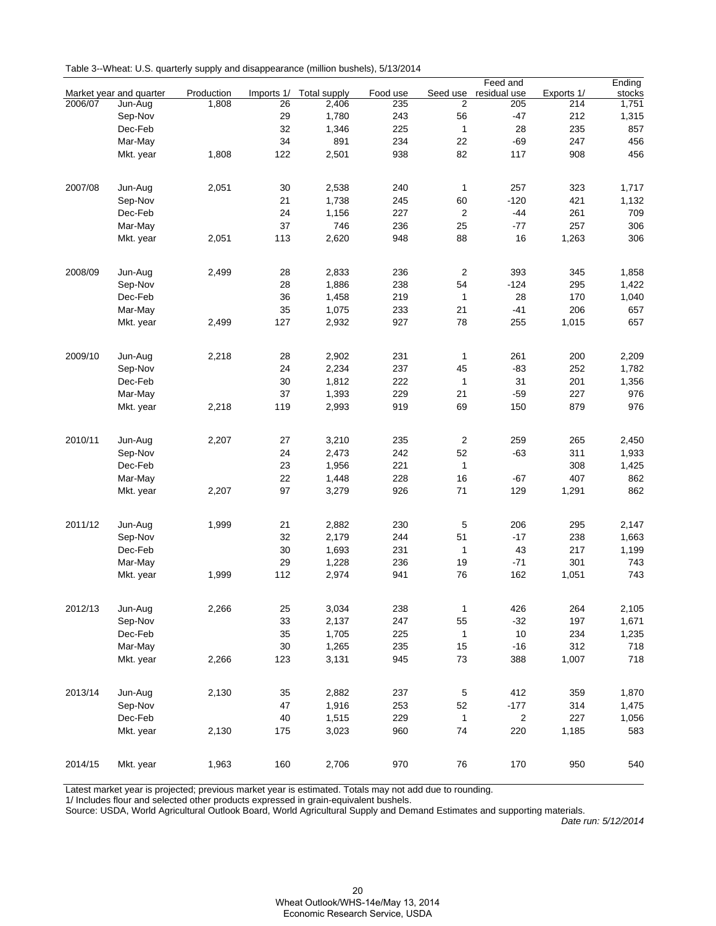|         |                         |            |            |                     |          |                | Feed and                |            | Ending |
|---------|-------------------------|------------|------------|---------------------|----------|----------------|-------------------------|------------|--------|
|         | Market year and quarter | Production | Imports 1/ | <b>Total supply</b> | Food use | Seed use       | residual use            | Exports 1/ | stocks |
| 2006/07 | Jun-Aug                 | 1,808      | 26         | 2,406               | 235      | 2              | 205                     | 214        | 1,751  |
|         | Sep-Nov                 |            | 29         | 1,780               | 243      | 56             | $-47$                   | 212        | 1,315  |
|         | Dec-Feb                 |            | 32         | 1,346               | 225      | $\mathbf{1}$   | 28                      | 235        | 857    |
|         | Mar-May                 |            | 34         | 891                 | 234      | 22             | $-69$                   | 247        | 456    |
|         | Mkt. year               | 1,808      | 122        | 2,501               | 938      | 82             | 117                     | 908        | 456    |
|         |                         |            |            |                     |          |                |                         |            |        |
| 2007/08 | Jun-Aug                 | 2,051      | 30         | 2,538               | 240      | 1              | 257                     | 323        | 1,717  |
|         | Sep-Nov                 |            | 21         | 1,738               | 245      | 60             | $-120$                  | 421        | 1,132  |
|         | Dec-Feb                 |            | 24         | 1,156               | 227      | 2              | $-44$                   | 261        | 709    |
|         | Mar-May                 |            | 37         | 746                 | 236      | 25             | $-77$                   | 257        | 306    |
|         | Mkt. year               | 2,051      | 113        | 2,620               | 948      | 88             | 16                      | 1,263      | 306    |
|         |                         |            |            |                     |          |                |                         |            |        |
| 2008/09 | Jun-Aug                 | 2,499      | 28         | 2,833               | 236      | $\overline{c}$ | 393                     | 345        | 1,858  |
|         | Sep-Nov                 |            | 28         | 1,886               | 238      | 54             | $-124$                  | 295        | 1,422  |
|         | Dec-Feb                 |            | 36         | 1,458               | 219      | 1              | 28                      | 170        | 1,040  |
|         | Mar-May                 |            | 35         | 1,075               | 233      | 21             | $-41$                   | 206        | 657    |
|         |                         |            |            |                     |          |                |                         |            |        |
|         | Mkt. year               | 2,499      | 127        | 2,932               | 927      | 78             | 255                     | 1,015      | 657    |
| 2009/10 | Jun-Aug                 | 2,218      | 28         | 2,902               | 231      | 1              | 261                     | 200        | 2,209  |
|         | Sep-Nov                 |            | 24         | 2,234               | 237      | 45             | $-83$                   | 252        | 1,782  |
|         |                         |            | 30         |                     | 222      |                | 31                      |            |        |
|         | Dec-Feb                 |            |            | 1,812               |          | $\mathbf{1}$   |                         | 201        | 1,356  |
|         | Mar-May                 |            | 37         | 1,393               | 229      | 21             | $-59$                   | 227        | 976    |
|         | Mkt. year               | 2,218      | 119        | 2,993               | 919      | 69             | 150                     | 879        | 976    |
| 2010/11 | Jun-Aug                 | 2,207      | 27         | 3,210               | 235      | $\overline{c}$ | 259                     | 265        | 2,450  |
|         | Sep-Nov                 |            | 24         | 2,473               | 242      | 52             | $-63$                   | 311        | 1,933  |
|         | Dec-Feb                 |            | 23         | 1,956               | 221      | $\mathbf{1}$   |                         | 308        | 1,425  |
|         | Mar-May                 |            | 22         | 1,448               | 228      | 16             | -67                     | 407        | 862    |
|         |                         | 2,207      | 97         | 3,279               | 926      | 71             | 129                     | 1,291      | 862    |
|         | Mkt. year               |            |            |                     |          |                |                         |            |        |
| 2011/12 | Jun-Aug                 | 1,999      | 21         | 2,882               | 230      | 5              | 206                     | 295        | 2,147  |
|         | Sep-Nov                 |            | 32         | 2,179               | 244      | 51             | -17                     | 238        | 1,663  |
|         | Dec-Feb                 |            | 30         | 1,693               | 231      | $\mathbf{1}$   | 43                      | 217        | 1,199  |
|         | Mar-May                 |            | 29         | 1,228               | 236      | 19             | -71                     | 301        | 743    |
|         |                         | 1,999      | 112        | 2,974               | 941      | 76             | 162                     | 1,051      | 743    |
|         | Mkt. year               |            |            |                     |          |                |                         |            |        |
| 2012/13 | Jun-Aug                 | 2,266      | 25         | 3,034               | 238      | $\mathbf{1}$   | 426                     | 264        | 2,105  |
|         | Sep-Nov                 |            | 33         | 2,137               | 247      | 55             | $-32$                   | 197        | 1,671  |
|         | Dec-Feb                 |            | 35         | 1,705               | 225      | $\mathbf{1}$   | 10                      | 234        | 1,235  |
|         | Mar-May                 |            | 30         | 1,265               | 235      | 15             | $-16$                   | 312        | 718    |
|         |                         |            |            |                     |          |                |                         |            |        |
|         | Mkt. year               | 2,266      | 123        | 3,131               | 945      | 73             | 388                     | 1,007      | 718    |
| 2013/14 | Jun-Aug                 | 2,130      | 35         | 2,882               | 237      | $\,$ 5 $\,$    | 412                     | 359        | 1,870  |
|         | Sep-Nov                 |            | 47         | 1,916               | 253      | 52             | $-177$                  | 314        | 1,475  |
|         | Dec-Feb                 |            | 40         | 1,515               | 229      | $\mathbf{1}$   | $\overline{\mathbf{c}}$ | 227        | 1,056  |
|         | Mkt. year               | 2,130      | 175        | 3,023               | 960      | 74             | 220                     | 1,185      | 583    |
|         |                         |            |            |                     |          |                |                         |            |        |
| 2014/15 | Mkt. year               | 1,963      | 160        | 2,706               | 970      | 76             | 170                     | 950        | 540    |
|         |                         |            |            |                     |          |                |                         |            |        |

Latest market year is projected; previous market year is estimated. Totals may not add due to rounding.

1/ Includes flour and selected other products expressed in grain-equivalent bushels.

Source: USDA, World Agricultural Outlook Board, World Agricultural Supply and Demand Estimates and supporting materials.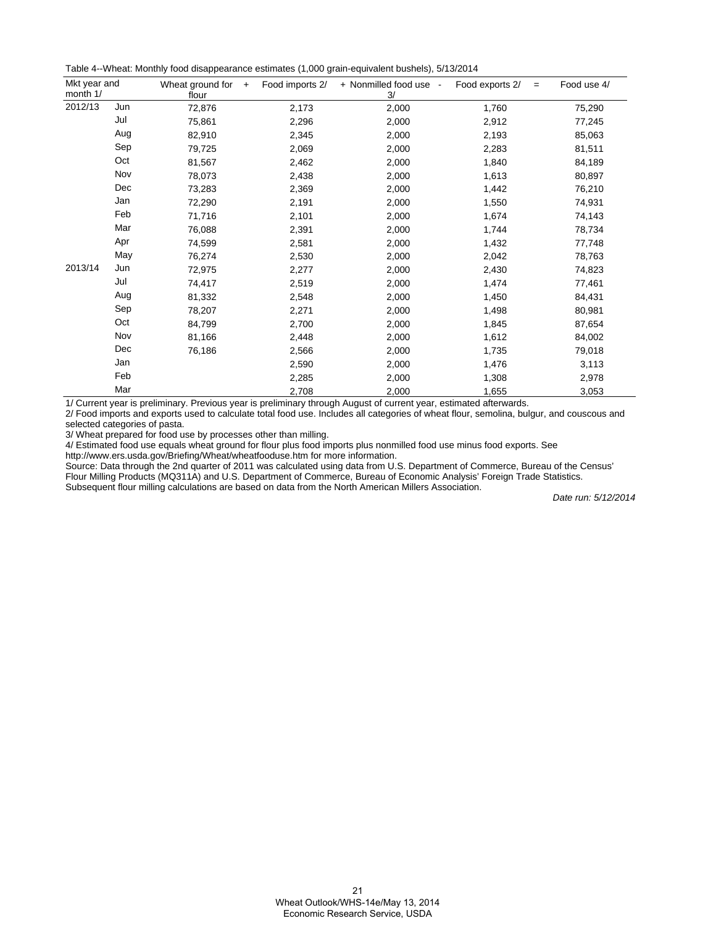Table 4--Wheat: Monthly food disappearance estimates (1,000 grain-equivalent bushels), 5/13/2014

| Mkt year and<br>month 1/ |     | Wheat ground for<br>$+$<br>flour | Food imports 2/ | + Nonmilled food use -<br>3/ | Food exports 2/<br>$=$ | Food use 4/ |
|--------------------------|-----|----------------------------------|-----------------|------------------------------|------------------------|-------------|
| 2012/13                  | Jun | 72,876                           | 2,173           | 2,000                        | 1,760                  | 75,290      |
|                          | Jul | 75,861                           | 2,296           | 2,000                        | 2,912                  | 77,245      |
|                          | Aug | 82,910                           | 2,345           | 2,000                        | 2,193                  | 85,063      |
|                          | Sep | 79,725                           | 2,069           | 2,000                        | 2,283                  | 81,511      |
|                          | Oct | 81,567                           | 2,462           | 2,000                        | 1,840                  | 84,189      |
|                          | Nov | 78,073                           | 2,438           | 2,000                        | 1,613                  | 80,897      |
|                          | Dec | 73,283                           | 2,369           | 2,000                        | 1,442                  | 76,210      |
|                          | Jan | 72,290                           | 2,191           | 2,000                        | 1,550                  | 74,931      |
|                          | Feb | 71,716                           | 2,101           | 2,000                        | 1,674                  | 74,143      |
|                          | Mar | 76,088                           | 2,391           | 2,000                        | 1,744                  | 78,734      |
|                          | Apr | 74,599                           | 2,581           | 2,000                        | 1,432                  | 77,748      |
|                          | May | 76,274                           | 2,530           | 2,000                        | 2,042                  | 78,763      |
| 2013/14                  | Jun | 72,975                           | 2,277           | 2,000                        | 2,430                  | 74,823      |
|                          | Jul | 74,417                           | 2,519           | 2,000                        | 1,474                  | 77,461      |
|                          | Aug | 81,332                           | 2,548           | 2,000                        | 1,450                  | 84,431      |
|                          | Sep | 78,207                           | 2,271           | 2,000                        | 1,498                  | 80,981      |
|                          | Oct | 84,799                           | 2,700           | 2,000                        | 1,845                  | 87,654      |
|                          | Nov | 81,166                           | 2,448           | 2,000                        | 1,612                  | 84,002      |
|                          | Dec | 76,186                           | 2,566           | 2,000                        | 1,735                  | 79,018      |
|                          | Jan |                                  | 2,590           | 2,000                        | 1,476                  | 3,113       |
|                          | Feb |                                  | 2,285           | 2,000                        | 1,308                  | 2,978       |
|                          | Mar |                                  | 2,708           | 2,000                        | 1,655                  | 3,053       |

1/ Current year is preliminary. Previous year is preliminary through August of current year, estimated afterwards.

2/ Food imports and exports used to calculate total food use. Includes all categories of wheat flour, semolina, bulgur, and couscous and selected categories of pasta.

3/ Wheat prepared for food use by processes other than milling.

4/ Estimated food use equals wheat ground for flour plus food imports plus nonmilled food use minus food exports. See

http://www.ers.usda.gov/Briefing/Wheat/wheatfooduse.htm for more information.

Source: Data through the 2nd quarter of 2011 was calculated using data from U.S. Department of Commerce, Bureau of the Census' Flour Milling Products (MQ311A) and U.S. Department of Commerce, Bureau of Economic Analysis' Foreign Trade Statistics. Subsequent flour milling calculations are based on data from the North American Millers Association.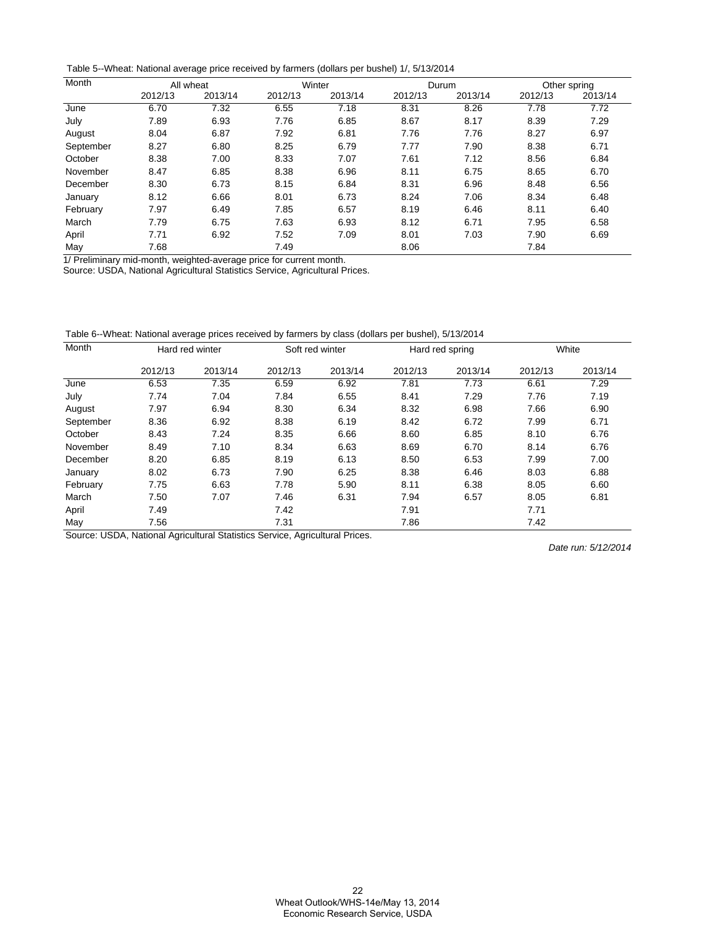Table 5--Wheat: National average price received by farmers (dollars per bushel) 1/, 5/13/2014

| Month     |         | All wheat |         | Winter  |         | Durum   |         | Other spring |
|-----------|---------|-----------|---------|---------|---------|---------|---------|--------------|
|           | 2012/13 | 2013/14   | 2012/13 | 2013/14 | 2012/13 | 2013/14 | 2012/13 | 2013/14      |
| June      | 6.70    | 7.32      | 6.55    | 7.18    | 8.31    | 8.26    | 7.78    | 7.72         |
| July      | 7.89    | 6.93      | 7.76    | 6.85    | 8.67    | 8.17    | 8.39    | 7.29         |
| August    | 8.04    | 6.87      | 7.92    | 6.81    | 7.76    | 7.76    | 8.27    | 6.97         |
| September | 8.27    | 6.80      | 8.25    | 6.79    | 7.77    | 7.90    | 8.38    | 6.71         |
| October   | 8.38    | 7.00      | 8.33    | 7.07    | 7.61    | 7.12    | 8.56    | 6.84         |
| November  | 8.47    | 6.85      | 8.38    | 6.96    | 8.11    | 6.75    | 8.65    | 6.70         |
| December  | 8.30    | 6.73      | 8.15    | 6.84    | 8.31    | 6.96    | 8.48    | 6.56         |
| January   | 8.12    | 6.66      | 8.01    | 6.73    | 8.24    | 7.06    | 8.34    | 6.48         |
| February  | 7.97    | 6.49      | 7.85    | 6.57    | 8.19    | 6.46    | 8.11    | 6.40         |
| March     | 7.79    | 6.75      | 7.63    | 6.93    | 8.12    | 6.71    | 7.95    | 6.58         |
| April     | 7.71    | 6.92      | 7.52    | 7.09    | 8.01    | 7.03    | 7.90    | 6.69         |
| May       | 7.68    |           | 7.49    |         | 8.06    |         | 7.84    |              |

1/ Preliminary mid-month, weighted-average price for current month.

Source: USDA, National Agricultural Statistics Service, Agricultural Prices.

Table 6--Wheat: National average prices received by farmers by class (dollars per bushel), 5/13/2014

| Month     | Hard red winter |         |         | Soft red winter | Hard red spring |         |         | White   |
|-----------|-----------------|---------|---------|-----------------|-----------------|---------|---------|---------|
|           | 2012/13         | 2013/14 | 2012/13 | 2013/14         | 2012/13         | 2013/14 | 2012/13 | 2013/14 |
| June      | 6.53            | 7.35    | 6.59    | 6.92            | 7.81            | 7.73    | 6.61    | 7.29    |
| July      | 7.74            | 7.04    | 7.84    | 6.55            | 8.41            | 7.29    | 7.76    | 7.19    |
| August    | 7.97            | 6.94    | 8.30    | 6.34            | 8.32            | 6.98    | 7.66    | 6.90    |
| September | 8.36            | 6.92    | 8.38    | 6.19            | 8.42            | 6.72    | 7.99    | 6.71    |
| October   | 8.43            | 7.24    | 8.35    | 6.66            | 8.60            | 6.85    | 8.10    | 6.76    |
| November  | 8.49            | 7.10    | 8.34    | 6.63            | 8.69            | 6.70    | 8.14    | 6.76    |
| December  | 8.20            | 6.85    | 8.19    | 6.13            | 8.50            | 6.53    | 7.99    | 7.00    |
| January   | 8.02            | 6.73    | 7.90    | 6.25            | 8.38            | 6.46    | 8.03    | 6.88    |
| February  | 7.75            | 6.63    | 7.78    | 5.90            | 8.11            | 6.38    | 8.05    | 6.60    |
| March     | 7.50            | 7.07    | 7.46    | 6.31            | 7.94            | 6.57    | 8.05    | 6.81    |
| April     | 7.49            |         | 7.42    |                 | 7.91            |         | 7.71    |         |
| May       | 7.56            |         | 7.31    |                 | 7.86            |         | 7.42    |         |

Source: USDA, National Agricultural Statistics Service, Agricultural Prices.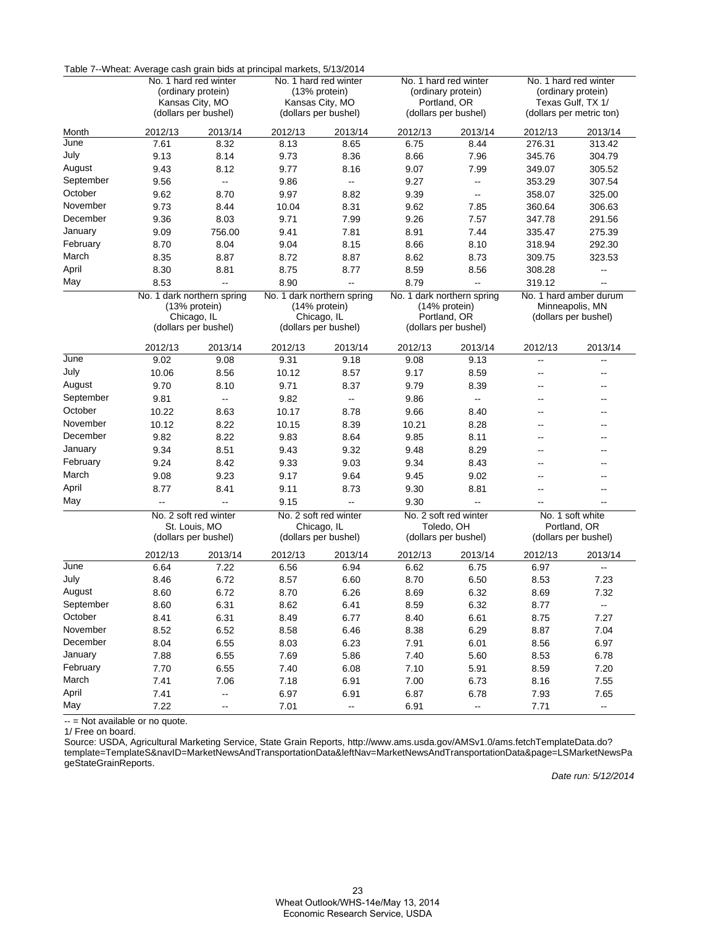|           | Table 7--Vineat: Average cash grain bius at principal markets, 5/13/2014 |                                             |                            |                                         |                       |                                             |                          |                                               |
|-----------|--------------------------------------------------------------------------|---------------------------------------------|----------------------------|-----------------------------------------|-----------------------|---------------------------------------------|--------------------------|-----------------------------------------------|
|           |                                                                          | No. 1 hard red winter                       |                            | No. 1 hard red winter                   | No. 1 hard red winter |                                             |                          | No. 1 hard red winter                         |
|           |                                                                          | (ordinary protein)                          |                            | (13% protein)                           |                       | (ordinary protein)                          |                          | (ordinary protein)                            |
|           | Kansas City, MO<br>(dollars per bushel)                                  |                                             |                            | Kansas City, MO<br>(dollars per bushel) |                       | Portland, OR<br>(dollars per bushel)        |                          | Texas Gulf, TX 1/<br>(dollars per metric ton) |
|           |                                                                          |                                             |                            |                                         |                       |                                             |                          |                                               |
| Month     | 2012/13                                                                  | 2013/14                                     | 2012/13                    | 2013/14                                 | 2012/13               | 2013/14                                     | 2012/13                  | 2013/14                                       |
| June      | 7.61                                                                     | 8.32                                        | 8.13                       | 8.65                                    | 6.75                  | 8.44                                        | 276.31                   | 313.42                                        |
| July      | 9.13                                                                     | 8.14                                        | 9.73                       | 8.36                                    | 8.66                  | 7.96                                        | 345.76                   | 304.79                                        |
| August    | 9.43                                                                     | 8.12                                        | 9.77                       | 8.16                                    | 9.07                  | 7.99                                        | 349.07                   | 305.52                                        |
| September | 9.56                                                                     | Ξ.                                          | 9.86                       | $\mathcal{L}_{\mathcal{F}}$             | 9.27                  | $\overline{\phantom{a}}$                    | 353.29                   | 307.54                                        |
| October   | 9.62                                                                     | 8.70                                        | 9.97                       | 8.82                                    | 9.39                  | Ξ.                                          | 358.07                   | 325.00                                        |
| November  | 9.73                                                                     | 8.44                                        | 10.04                      | 8.31                                    | 9.62                  | 7.85                                        | 360.64                   | 306.63                                        |
| December  | 9.36                                                                     | 8.03                                        | 9.71                       | 7.99                                    | 9.26                  | 7.57                                        | 347.78                   | 291.56                                        |
| January   | 9.09                                                                     | 756.00                                      | 9.41                       | 7.81                                    | 8.91                  | 7.44                                        | 335.47                   | 275.39                                        |
| February  | 8.70                                                                     | 8.04                                        | 9.04                       | 8.15                                    | 8.66                  | 8.10                                        | 318.94                   | 292.30                                        |
| March     | 8.35                                                                     | 8.87                                        | 8.72                       | 8.87                                    | 8.62                  | 8.73                                        | 309.75                   | 323.53                                        |
| April     | 8.30                                                                     | 8.81                                        | 8.75                       | 8.77                                    | 8.59                  | 8.56                                        | 308.28                   | --                                            |
| May       | 8.53                                                                     | Ξ.                                          | 8.90                       | $\overline{\phantom{a}}$                | 8.79                  | Ξ.                                          | 319.12                   |                                               |
|           |                                                                          | No. 1 dark northern spring<br>(13% protein) | No. 1 dark northern spring | (14% protein)                           |                       | No. 1 dark northern spring<br>(14% protein) |                          | No. 1 hard amber durum<br>Minneapolis, MN     |
|           |                                                                          | Chicago, IL<br>(dollars per bushel)         |                            | Chicago, IL<br>(dollars per bushel)     |                       | Portland, OR<br>(dollars per bushel)        | (dollars per bushel)     |                                               |
|           | 2012/13                                                                  | 2013/14                                     | 2012/13                    | 2013/14                                 | 2012/13               | 2013/14                                     | 2012/13                  | 2013/14                                       |
| June      | 9.02                                                                     | 9.08                                        | 9.31                       | 9.18                                    | 9.08                  | 9.13                                        | Ξ.                       | Щ,                                            |
| July      | 10.06                                                                    | 8.56                                        | 10.12                      | 8.57                                    | 9.17                  | 8.59                                        | --                       |                                               |
| August    | 9.70                                                                     | 8.10                                        | 9.71                       | 8.37                                    | 9.79                  | 8.39                                        | $-$                      |                                               |
| September | 9.81                                                                     | Ξ.                                          | 9.82                       | $\mathcal{L}_{\mathcal{F}}$             | 9.86                  | $\frac{1}{2}$                               | --                       |                                               |
| October   | 10.22                                                                    | 8.63                                        | 10.17                      | 8.78                                    | 9.66                  | 8.40                                        | --                       |                                               |
| November  | 10.12                                                                    | 8.22                                        | 10.15                      | 8.39                                    | 10.21                 | 8.28                                        | $\overline{a}$           |                                               |
| December  | 9.82                                                                     | 8.22                                        | 9.83                       | 8.64                                    | 9.85                  | 8.11                                        | $\overline{\phantom{a}}$ | --                                            |
| January   | 9.34                                                                     | 8.51                                        | 9.43                       | 9.32                                    | 9.48                  | 8.29                                        | --                       |                                               |
| February  | 9.24                                                                     | 8.42                                        | 9.33                       | 9.03                                    | 9.34                  | 8.43                                        | $\overline{\phantom{a}}$ |                                               |
| March     | 9.08                                                                     | 9.23                                        | 9.17                       | 9.64                                    | 9.45                  | 9.02                                        | --                       |                                               |
| April     | 8.77                                                                     | 8.41                                        | 9.11                       | 8.73                                    | 9.30                  | 8.81                                        | --                       | --                                            |
| May       | --                                                                       | -−                                          | 9.15                       | Ξ.                                      | 9.30                  | Щ,                                          |                          | --                                            |
|           |                                                                          | No. 2 soft red winter                       |                            | No. 2 soft red winter                   |                       | No. 2 soft red winter                       |                          | No. 1 soft white                              |
|           |                                                                          | St. Louis, MO                               |                            | Chicago, IL                             |                       | Toledo, OH                                  |                          | Portland, OR                                  |
|           |                                                                          | (dollars per bushel)                        |                            | (dollars per bushel)                    |                       | (dollars per bushel)                        |                          | (dollars per bushel)                          |
|           | 2012/13                                                                  | 2013/14                                     | 2012/13                    | 2013/14                                 | 2012/13               | 2013/14                                     | 2012/13                  | 2013/14                                       |
| June      | 6.64                                                                     | 7.22                                        | 6.56                       | 6.94                                    | 6.62                  | 6.75                                        | 6.97                     | --                                            |
| July      | 8.46                                                                     | 6.72                                        | 8.57                       | 6.60                                    | 8.70                  | 6.50                                        | 8.53                     | 7.23                                          |
| August    | 8.60                                                                     | 6.72                                        | 8.70                       | 6.26                                    | 8.69                  | 6.32                                        | 8.69                     | 7.32                                          |
| September | 8.60                                                                     | 6.31                                        | 8.62                       | 6.41                                    | 8.59                  | 6.32                                        | 8.77                     | н,                                            |
| October   | 8.41                                                                     | 6.31                                        | 8.49                       | 6.77                                    | 8.40                  | 6.61                                        | 8.75                     | 7.27                                          |
| November  | 8.52                                                                     | 6.52                                        | 8.58                       | 6.46                                    | 8.38                  | 6.29                                        | 8.87                     | 7.04                                          |
| December  | 8.04                                                                     | 6.55                                        | 8.03                       | 6.23                                    | 7.91                  | 6.01                                        | 8.56                     | 6.97                                          |
| January   | 7.88                                                                     | 6.55                                        | 7.69                       | 5.86                                    | 7.40                  | 5.60                                        | 8.53                     | 6.78                                          |
| February  | 7.70                                                                     | 6.55                                        | 7.40                       | 6.08                                    | 7.10                  | 5.91                                        | 8.59                     | 7.20                                          |
| March     | 7.41                                                                     | 7.06                                        | 7.18                       | 6.91                                    | 7.00                  | 6.73                                        | 8.16                     | 7.55                                          |
| April     | 7.41                                                                     | -−                                          | 6.97                       | 6.91                                    | 6.87                  | 6.78                                        | 7.93                     | 7.65                                          |
| May       | 7.22                                                                     | $\frac{1}{2}$                               | 7.01                       | $\overline{\phantom{a}}$                | 6.91                  | $\overline{\phantom{a}}$                    | 7.71                     | Ξ.                                            |

Table 7--Wheat: Average cash grain bids at principal markets, 5/13/2014

-- = Not available or no quote.

1/ Free on board.

Source: USDA, Agricultural Marketing Service, State Grain Reports, http://www.ams.usda.gov/AMSv1.0/ams.fetchTemplateData.do? [template=TemplateS&navID=MarketNewsAndTransportationData&leftNav=MarketNewsAndTransportationData&page=LSMarketNewsPa](http://www.ams.usda.gov/AMSv1.0/ams.fetchTemplateData.do?template=TemplateS&navID=MarketNewsAndTransportationData&leftNav=MarketNewsAndTransportationData&page=LSMarketNewsPageStateGrainReports) geStateGrainReports.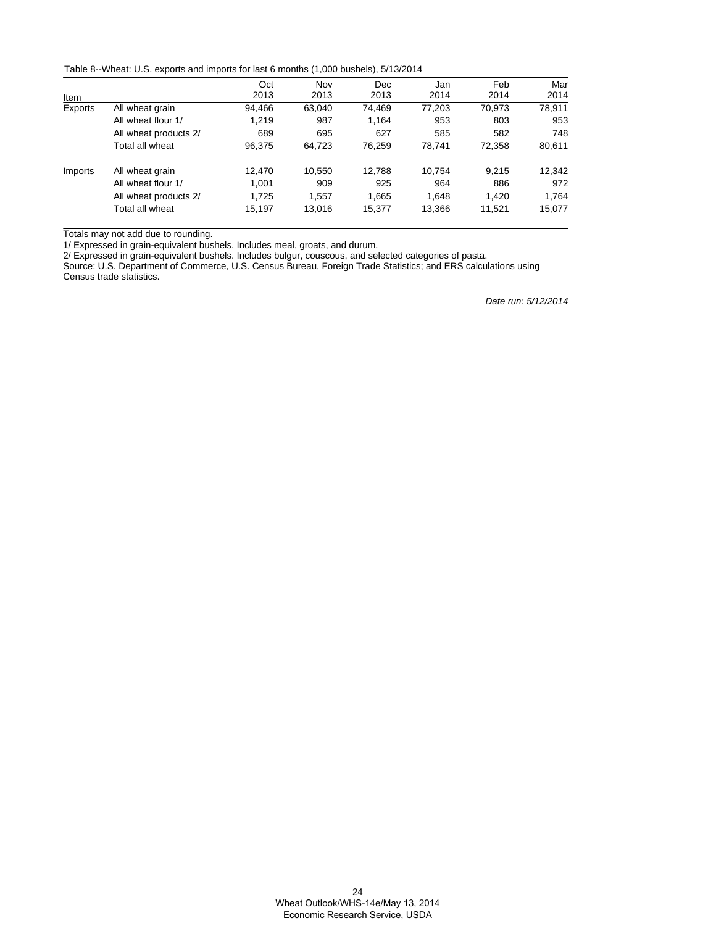Table 8--Wheat: U.S. exports and imports for last 6 months (1,000 bushels), 5/13/2014

|         |                       | Oct    | Nov    | Dec    | Jan    | Feb    | Mar    |
|---------|-----------------------|--------|--------|--------|--------|--------|--------|
| Item    |                       | 2013   | 2013   | 2013   | 2014   | 2014   | 2014   |
| Exports | All wheat grain       | 94.466 | 63.040 | 74.469 | 77.203 | 70.973 | 78,911 |
|         | All wheat flour 1/    | 1.219  | 987    | 1.164  | 953    | 803    | 953    |
|         | All wheat products 2/ | 689    | 695    | 627    | 585    | 582    | 748    |
|         | Total all wheat       | 96,375 | 64,723 | 76,259 | 78.741 | 72,358 | 80,611 |
| Imports | All wheat grain       | 12,470 | 10,550 | 12,788 | 10.754 | 9.215  | 12,342 |
|         | All wheat flour 1/    | 1.001  | 909    | 925    | 964    | 886    | 972    |
|         | All wheat products 2/ | 1.725  | 1,557  | 1,665  | 1.648  | 1.420  | 1.764  |
|         | Total all wheat       | 15,197 | 13.016 | 15,377 | 13.366 | 11,521 | 15,077 |

Totals may not add due to rounding.

1/ Expressed in grain-equivalent bushels. Includes meal, groats, and durum.

2/ Expressed in grain-equivalent bushels. Includes bulgur, couscous, and selected categories of pasta.

Source: U.S. Department of Commerce, U.S. Census Bureau, Foreign Trade Statistics; and ERS calculations using Census trade statistics.